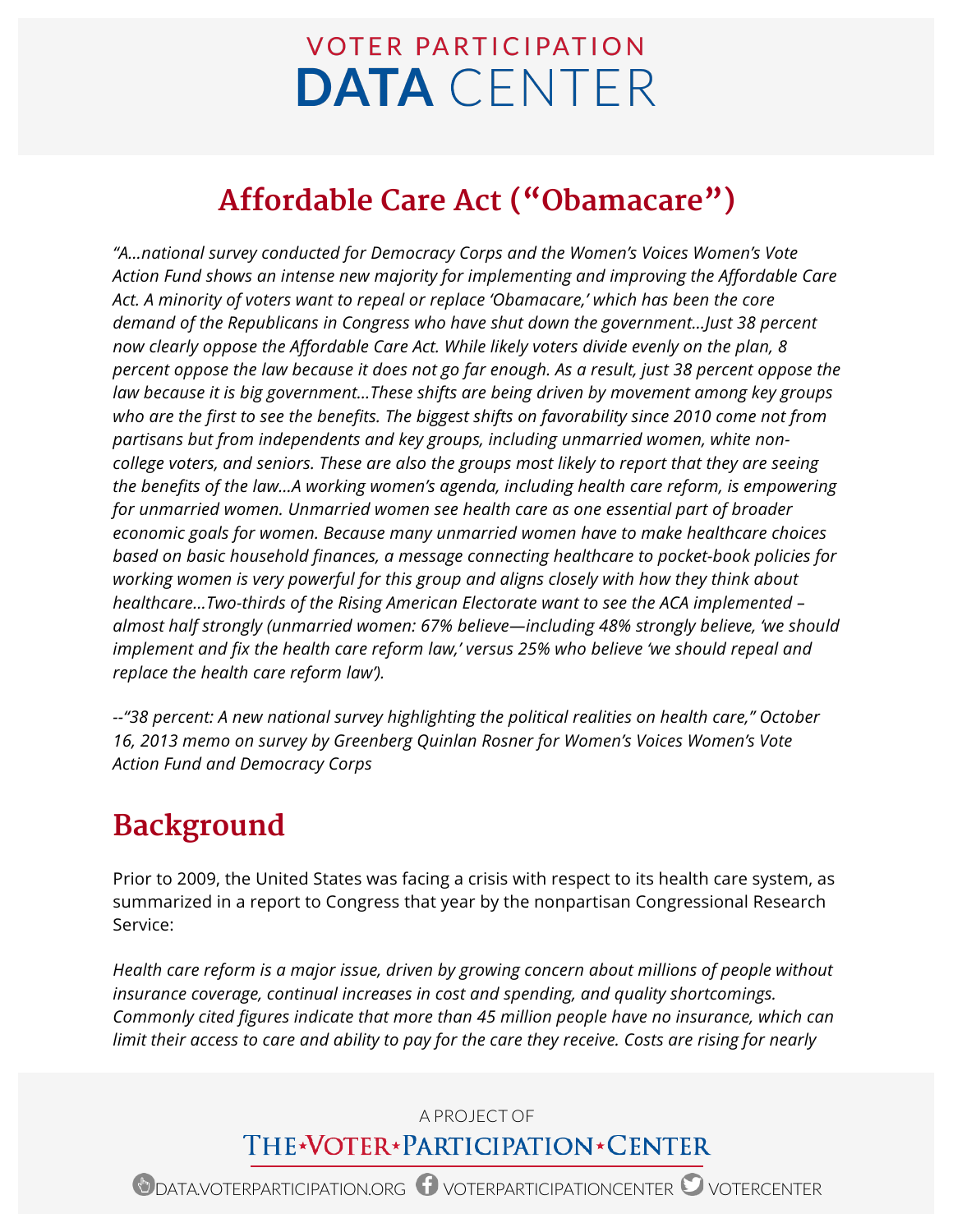# **VOTER PARTICIPATION DATA** CENTER

## **Affordable Care Act ("Obamacare")**

*"A…national survey conducted for Democracy Corps and the Women's Voices Women's Vote Action Fund shows an intense new majority for implementing and improving the Affordable Care Act. A minority of voters want to repeal or replace 'Obamacare,' which has been the core demand of the Republicans in Congress who have shut down the government…Just 38 percent now clearly oppose the Affordable Care Act. While likely voters divide evenly on the plan, 8 percent oppose the law because it does not go far enough. As a result, just 38 percent oppose the law because it is big government…These shifts are being driven by movement among key groups who are the first to see the benefits. The biggest shifts on favorability since 2010 come not from partisans but from independents and key groups, including unmarried women, white noncollege voters, and seniors. These are also the groups most likely to report that they are seeing the benefits of the law…A working women's agenda, including health care reform, is empowering for unmarried women. Unmarried women see health care as one essential part of broader economic goals for women. Because many unmarried women have to make healthcare choices based on basic household finances, a message connecting healthcare to pocket-book policies for working women is very powerful for this group and aligns closely with how they think about healthcare…Two-thirds of the Rising American Electorate want to see the ACA implemented – almost half strongly (unmarried women: 67% believe—including 48% strongly believe, 'we should implement and fix the health care reform law,' versus 25% who believe 'we should repeal and replace the health care reform law').*

*--"38 percent: A new national survey highlighting the political realities on health care," October 16, 2013 memo on survey by Greenberg Quinlan Rosner for Women's Voices Women's Vote Action Fund and Democracy Corps*

## **Background**

Prior to 2009, the United States was facing a crisis with respect to its health care system, as summarized in a report to Congress that year by the nonpartisan Congressional Research Service:

*Health care reform is a major issue, driven by growing concern about millions of people without insurance coverage, continual increases in cost and spending, and quality shortcomings. Commonly cited figures indicate that more than 45 million people have no insurance, which can limit their access to care and ability to pay for the care they receive. Costs are rising for nearly* 

## A PROJECT OF THE\*VOTER\*PARTICIPATION\*CENTER

ODATA.VOTERPARTICIPATION.ORG OVOTERPARTICIPATIONCENTER OVOTERCENTER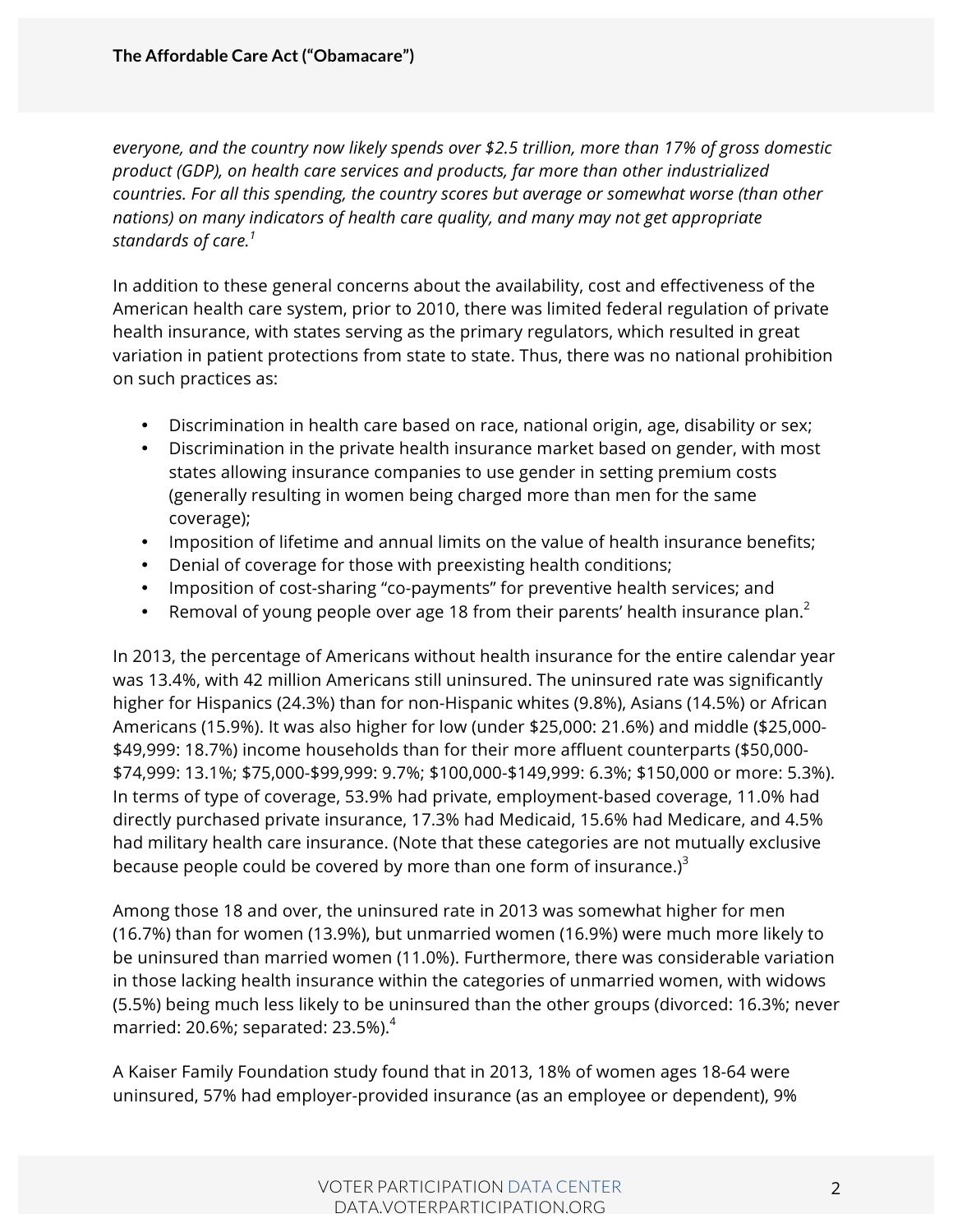*everyone, and the country now likely spends over \$2.5 trillion, more than 17% of gross domestic product (GDP), on health care services and products, far more than other industrialized countries. For all this spending, the country scores but average or somewhat worse (than other nations) on many indicators of health care quality, and many may not get appropriate standards of care.<sup>1</sup>*

In addition to these general concerns about the availability, cost and effectiveness of the American health care system, prior to 2010, there was limited federal regulation of private health insurance, with states serving as the primary regulators, which resulted in great variation in patient protections from state to state. Thus, there was no national prohibition on such practices as:

- Discrimination in health care based on race, national origin, age, disability or sex;
- Discrimination in the private health insurance market based on gender, with most states allowing insurance companies to use gender in setting premium costs (generally resulting in women being charged more than men for the same coverage);
- Imposition of lifetime and annual limits on the value of health insurance benefits;
- Denial of coverage for those with preexisting health conditions;
- Imposition of cost-sharing "co-payments" for preventive health services; and
- Removal of young people over age 18 from their parents' health insurance plan.<sup>2</sup>

In 2013, the percentage of Americans without health insurance for the entire calendar year was 13.4%, with 42 million Americans still uninsured. The uninsured rate was significantly higher for Hispanics (24.3%) than for non-Hispanic whites (9.8%), Asians (14.5%) or African Americans (15.9%). It was also higher for low (under \$25,000: 21.6%) and middle (\$25,000- \$49,999: 18.7%) income households than for their more affluent counterparts (\$50,000- \$74,999: 13.1%; \$75,000-\$99,999: 9.7%; \$100,000-\$149,999: 6.3%; \$150,000 or more: 5.3%). In terms of type of coverage, 53.9% had private, employment-based coverage, 11.0% had directly purchased private insurance, 17.3% had Medicaid, 15.6% had Medicare, and 4.5% had military health care insurance. (Note that these categories are not mutually exclusive because people could be covered by more than one form of insurance.) $3$ 

Among those 18 and over, the uninsured rate in 2013 was somewhat higher for men (16.7%) than for women (13.9%), but unmarried women (16.9%) were much more likely to be uninsured than married women (11.0%). Furthermore, there was considerable variation in those lacking health insurance within the categories of unmarried women, with widows (5.5%) being much less likely to be uninsured than the other groups (divorced: 16.3%; never married: 20.6%; separated:  $23.5\%$ ). $4$ 

A Kaiser Family Foundation study found that in 2013, 18% of women ages 18-64 were uninsured, 57% had employer-provided insurance (as an employee or dependent), 9%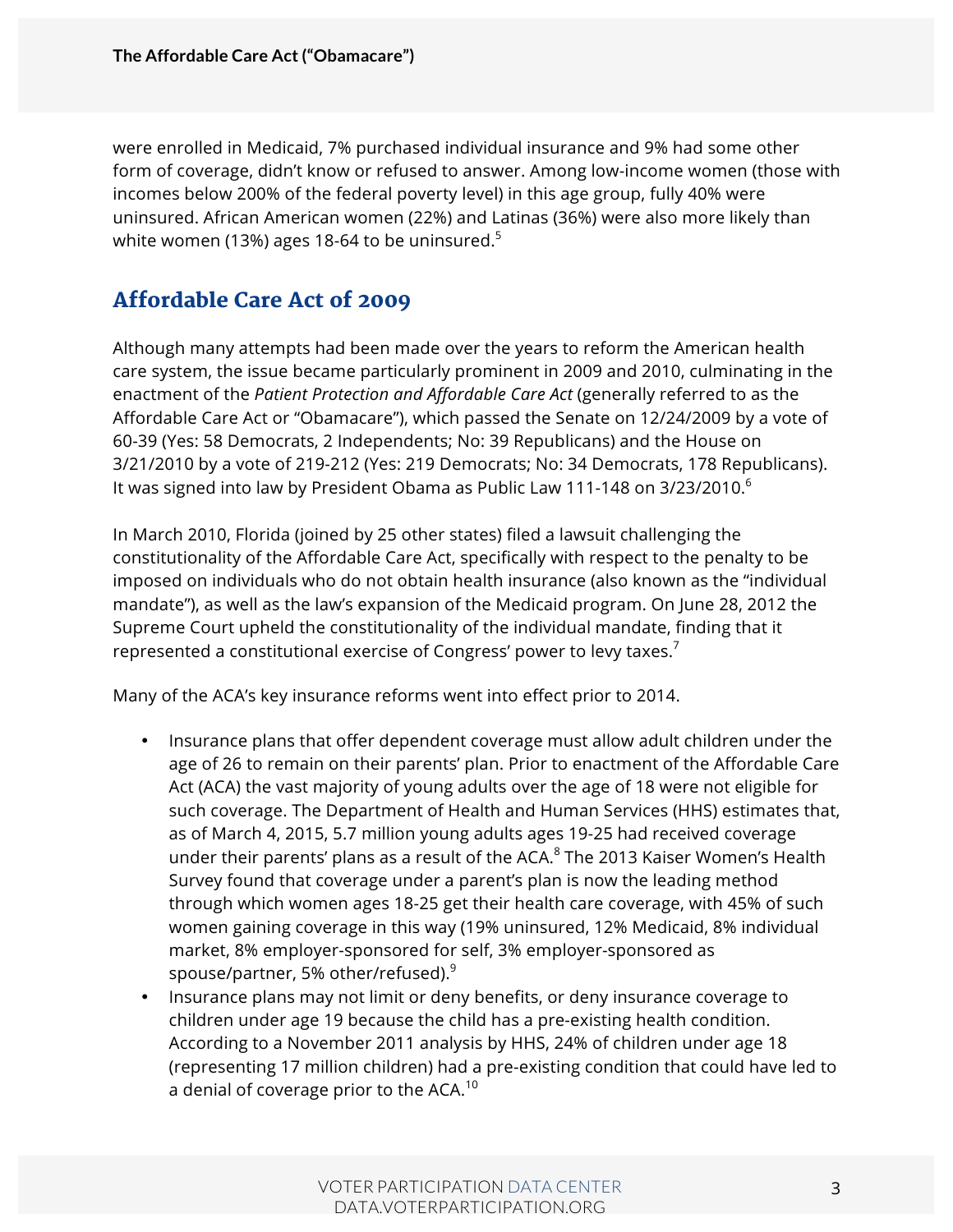were enrolled in Medicaid, 7% purchased individual insurance and 9% had some other form of coverage, didn't know or refused to answer. Among low-income women (those with incomes below 200% of the federal poverty level) in this age group, fully 40% were uninsured. African American women (22%) and Latinas (36%) were also more likely than white women (13%) ages 18-64 to be uninsured.<sup>5</sup>

### Affordable Care Act of 2009

Although many attempts had been made over the years to reform the American health care system, the issue became particularly prominent in 2009 and 2010, culminating in the enactment of the *Patient Protection and Affordable Care Act* (generally referred to as the Affordable Care Act or "Obamacare"), which passed the Senate on 12/24/2009 by a vote of 60-39 (Yes: 58 Democrats, 2 Independents; No: 39 Republicans) and the House on 3/21/2010 by a vote of 219-212 (Yes: 219 Democrats; No: 34 Democrats, 178 Republicans). It was signed into law by President Obama as Public Law 111-148 on 3/23/2010.<sup>6</sup>

In March 2010, Florida (joined by 25 other states) filed a lawsuit challenging the constitutionality of the Affordable Care Act, specifically with respect to the penalty to be imposed on individuals who do not obtain health insurance (also known as the "individual mandate"), as well as the law's expansion of the Medicaid program. On June 28, 2012 the Supreme Court upheld the constitutionality of the individual mandate, finding that it represented a constitutional exercise of Congress' power to levy taxes.<sup>7</sup>

Many of the ACA's key insurance reforms went into effect prior to 2014.

- Insurance plans that offer dependent coverage must allow adult children under the age of 26 to remain on their parents' plan. Prior to enactment of the Affordable Care Act (ACA) the vast majority of young adults over the age of 18 were not eligible for such coverage. The Department of Health and Human Services (HHS) estimates that, as of March 4, 2015, 5.7 million young adults ages 19-25 had received coverage under their parents' plans as a result of the ACA.<sup>8</sup> The 2013 Kaiser Women's Health Survey found that coverage under a parent's plan is now the leading method through which women ages 18-25 get their health care coverage, with 45% of such women gaining coverage in this way (19% uninsured, 12% Medicaid, 8% individual market, 8% employer-sponsored for self, 3% employer-sponsored as spouse/partner, 5% other/refused). $^9$
- Insurance plans may not limit or deny benefits, or deny insurance coverage to children under age 19 because the child has a pre-existing health condition. According to a November 2011 analysis by HHS, 24% of children under age 18 (representing 17 million children) had a pre-existing condition that could have led to a denial of coverage prior to the ACA.<sup>10</sup>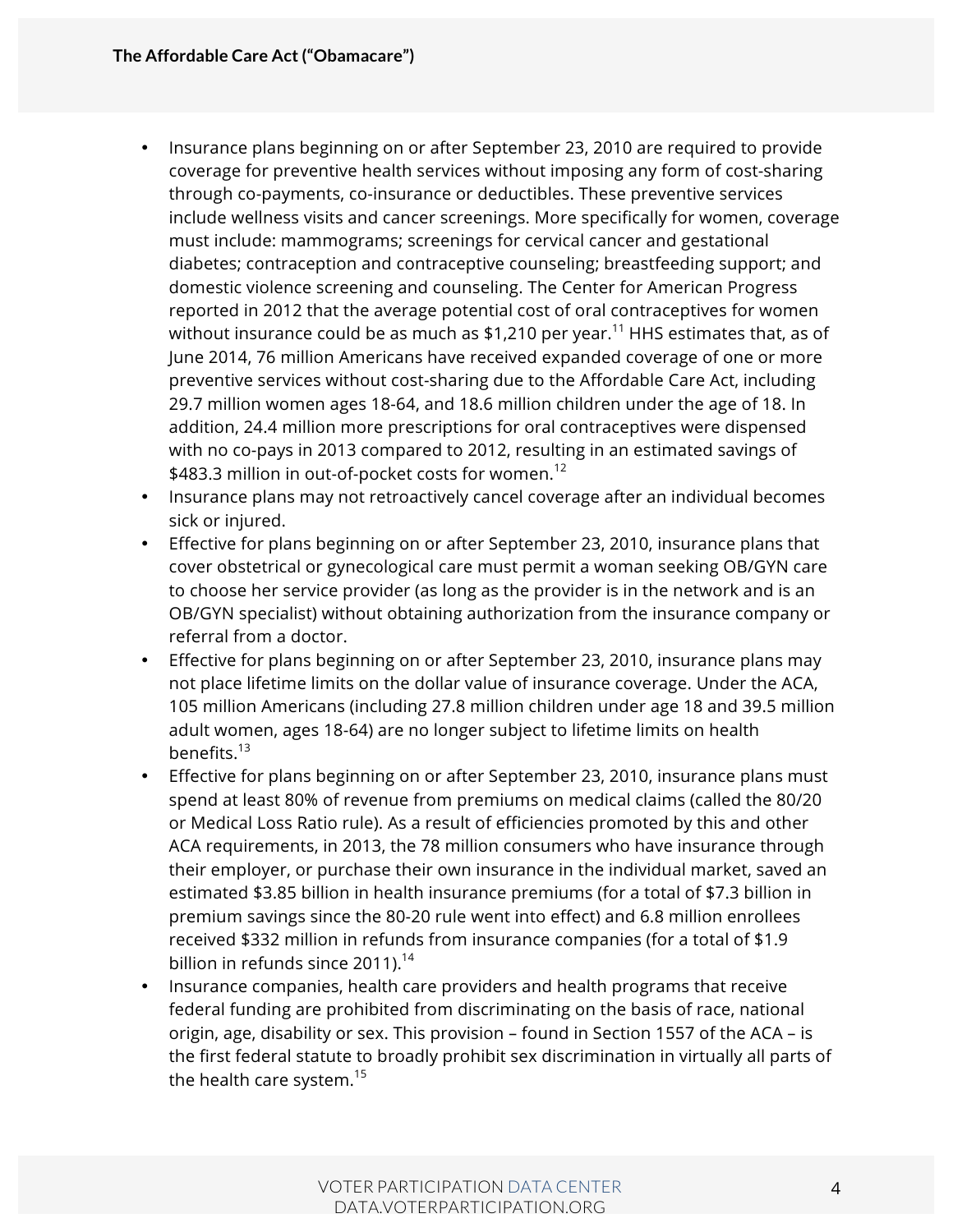- Insurance plans beginning on or after September 23, 2010 are required to provide coverage for preventive health services without imposing any form of cost-sharing through co-payments, co-insurance or deductibles. These preventive services include wellness visits and cancer screenings. More specifically for women, coverage must include: mammograms; screenings for cervical cancer and gestational diabetes; contraception and contraceptive counseling; breastfeeding support; and domestic violence screening and counseling. The Center for American Progress reported in 2012 that the average potential cost of oral contraceptives for women without insurance could be as much as \$1,210 per year.<sup>11</sup> HHS estimates that, as of June 2014, 76 million Americans have received expanded coverage of one or more preventive services without cost-sharing due to the Affordable Care Act, including 29.7 million women ages 18-64, and 18.6 million children under the age of 18. In addition, 24.4 million more prescriptions for oral contraceptives were dispensed with no co-pays in 2013 compared to 2012, resulting in an estimated savings of \$483.3 million in out-of-pocket costs for women.<sup>12</sup>
- Insurance plans may not retroactively cancel coverage after an individual becomes sick or injured.
- Effective for plans beginning on or after September 23, 2010, insurance plans that cover obstetrical or gynecological care must permit a woman seeking OB/GYN care to choose her service provider (as long as the provider is in the network and is an OB/GYN specialist) without obtaining authorization from the insurance company or referral from a doctor.
- Effective for plans beginning on or after September 23, 2010, insurance plans may not place lifetime limits on the dollar value of insurance coverage. Under the ACA, 105 million Americans (including 27.8 million children under age 18 and 39.5 million adult women, ages 18-64) are no longer subject to lifetime limits on health benefits.<sup>13</sup>
- Effective for plans beginning on or after September 23, 2010, insurance plans must spend at least 80% of revenue from premiums on medical claims (called the 80/20 or Medical Loss Ratio rule). As a result of efficiencies promoted by this and other ACA requirements, in 2013, the 78 million consumers who have insurance through their employer, or purchase their own insurance in the individual market, saved an estimated \$3.85 billion in health insurance premiums (for a total of \$7.3 billion in premium savings since the 80-20 rule went into effect) and 6.8 million enrollees received \$332 million in refunds from insurance companies (for a total of \$1.9 billion in refunds since  $2011$ ).<sup>14</sup>
- Insurance companies, health care providers and health programs that receive federal funding are prohibited from discriminating on the basis of race, national origin, age, disability or sex. This provision – found in Section 1557 of the ACA – is the first federal statute to broadly prohibit sex discrimination in virtually all parts of the health care system. $15$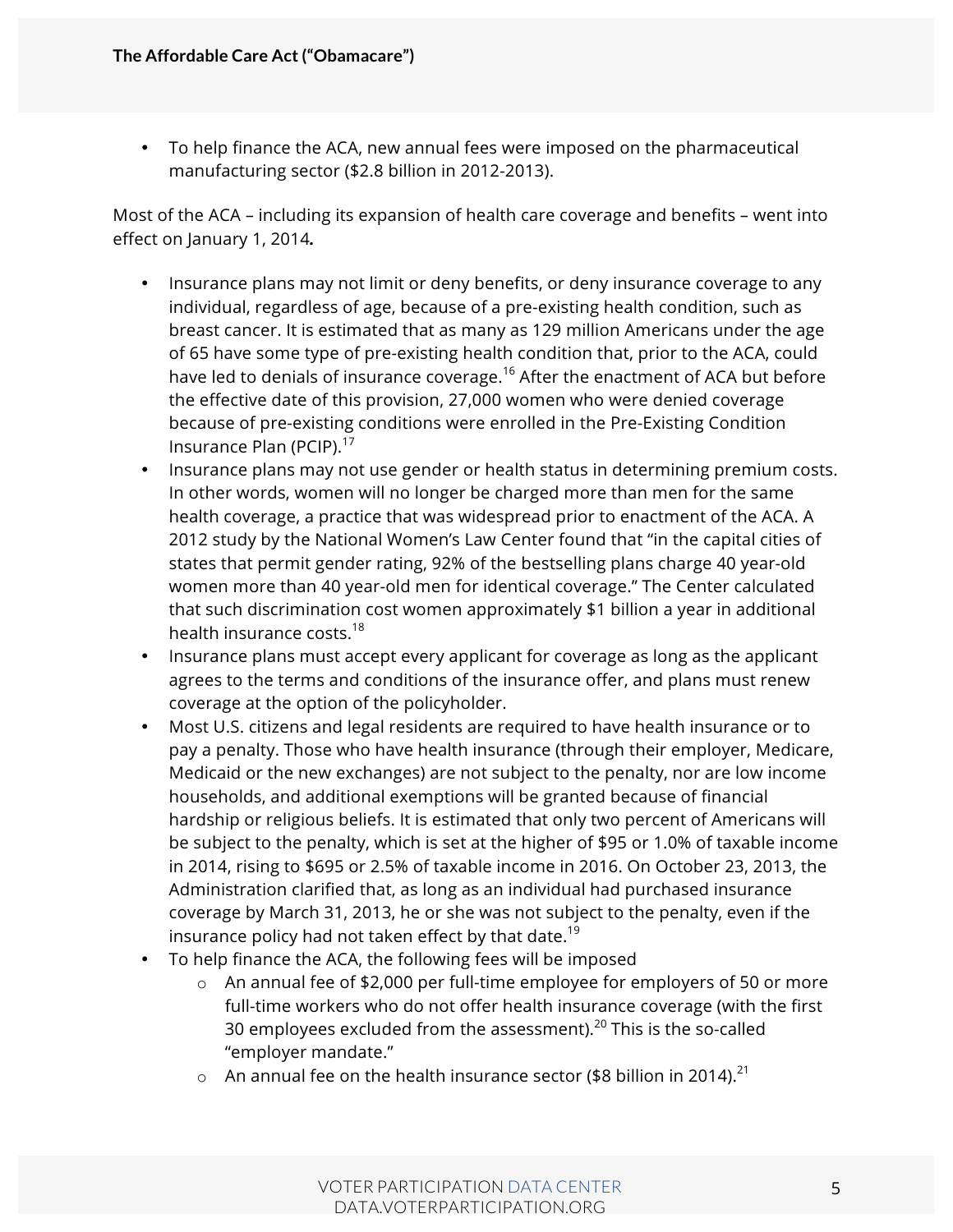• To help finance the ACA, new annual fees were imposed on the pharmaceutical manufacturing sector (\$2.8 billion in 2012-2013).

Most of the ACA – including its expansion of health care coverage and benefits – went into effect on January 1, 2014*.*

- Insurance plans may not limit or deny benefits, or deny insurance coverage to any individual, regardless of age, because of a pre-existing health condition, such as breast cancer. It is estimated that as many as 129 million Americans under the age of 65 have some type of pre-existing health condition that, prior to the ACA, could have led to denials of insurance coverage.<sup>16</sup> After the enactment of ACA but before the effective date of this provision, 27,000 women who were denied coverage because of pre-existing conditions were enrolled in the Pre-Existing Condition Insurance Plan (PCIP).<sup>17</sup>
- Insurance plans may not use gender or health status in determining premium costs. In other words, women will no longer be charged more than men for the same health coverage, a practice that was widespread prior to enactment of the ACA. A 2012 study by the National Women's Law Center found that "in the capital cities of states that permit gender rating, 92% of the bestselling plans charge 40 year-old women more than 40 year-old men for identical coverage." The Center calculated that such discrimination cost women approximately \$1 billion a year in additional health insurance costs.<sup>18</sup>
- Insurance plans must accept every applicant for coverage as long as the applicant agrees to the terms and conditions of the insurance offer, and plans must renew coverage at the option of the policyholder.
- Most U.S. citizens and legal residents are required to have health insurance or to pay a penalty. Those who have health insurance (through their employer, Medicare, Medicaid or the new exchanges) are not subject to the penalty, nor are low income households, and additional exemptions will be granted because of financial hardship or religious beliefs. It is estimated that only two percent of Americans will be subject to the penalty, which is set at the higher of \$95 or 1.0% of taxable income in 2014, rising to \$695 or 2.5% of taxable income in 2016. On October 23, 2013, the Administration clarified that, as long as an individual had purchased insurance coverage by March 31, 2013, he or she was not subject to the penalty, even if the insurance policy had not taken effect by that date.<sup>19</sup>
- To help finance the ACA, the following fees will be imposed
	- o An annual fee of \$2,000 per full-time employee for employers of 50 or more full-time workers who do not offer health insurance coverage (with the first 30 employees excluded from the assessment). $^{20}$  This is the so-called "employer mandate."
	- $\circ$  An annual fee on the health insurance sector (\$8 billion in 2014).<sup>21</sup>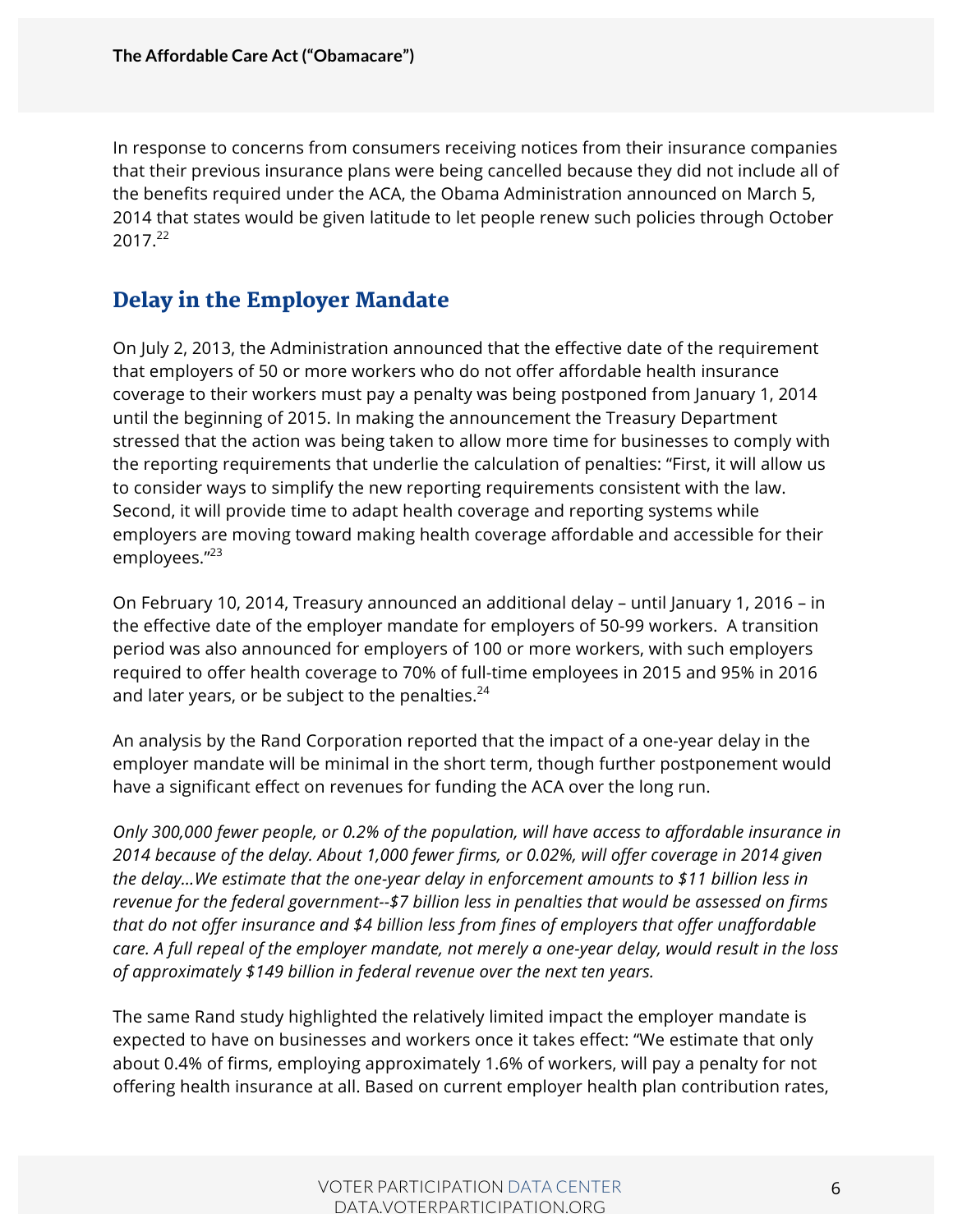In response to concerns from consumers receiving notices from their insurance companies that their previous insurance plans were being cancelled because they did not include all of the benefits required under the ACA, the Obama Administration announced on March 5, 2014 that states would be given latitude to let people renew such policies through October 2017.<sup>22</sup>

### Delay in the Employer Mandate

On July 2, 2013, the Administration announced that the effective date of the requirement that employers of 50 or more workers who do not offer affordable health insurance coverage to their workers must pay a penalty was being postponed from January 1, 2014 until the beginning of 2015. In making the announcement the Treasury Department stressed that the action was being taken to allow more time for businesses to comply with the reporting requirements that underlie the calculation of penalties: "First, it will allow us to consider ways to simplify the new reporting requirements consistent with the law. Second, it will provide time to adapt health coverage and reporting systems while employers are moving toward making health coverage affordable and accessible for their employees."<sup>23</sup>

On February 10, 2014, Treasury announced an additional delay – until January 1, 2016 – in the effective date of the employer mandate for employers of 50-99 workers. A transition period was also announced for employers of 100 or more workers, with such employers required to offer health coverage to 70% of full-time employees in 2015 and 95% in 2016 and later years, or be subject to the penalties. $24$ 

An analysis by the Rand Corporation reported that the impact of a one-year delay in the employer mandate will be minimal in the short term, though further postponement would have a significant effect on revenues for funding the ACA over the long run.

*Only 300,000 fewer people, or 0.2% of the population, will have access to affordable insurance in 2014 because of the delay. About 1,000 fewer firms, or 0.02%, will offer coverage in 2014 given the delay…We estimate that the one-year delay in enforcement amounts to \$11 billion less in revenue for the federal government--\$7 billion less in penalties that would be assessed on firms that do not offer insurance and \$4 billion less from fines of employers that offer unaffordable care. A full repeal of the employer mandate, not merely a one-year delay, would result in the loss of approximately \$149 billion in federal revenue over the next ten years.*

The same Rand study highlighted the relatively limited impact the employer mandate is expected to have on businesses and workers once it takes effect: "We estimate that only about 0.4% of firms, employing approximately 1.6% of workers, will pay a penalty for not offering health insurance at all. Based on current employer health plan contribution rates,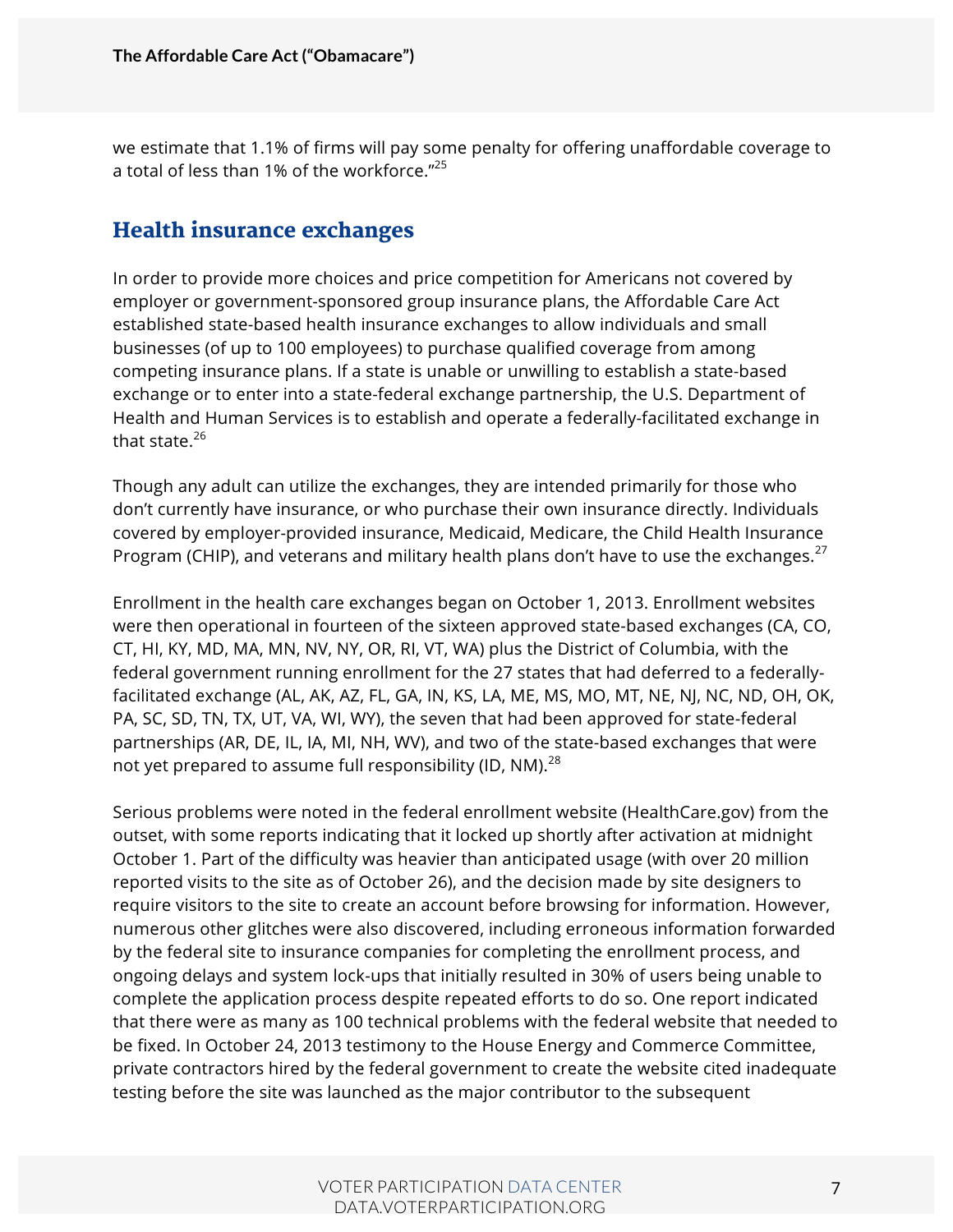we estimate that 1.1% of firms will pay some penalty for offering unaffordable coverage to a total of less than 1% of the workforce."<sup>25</sup>

#### Health insurance exchanges

In order to provide more choices and price competition for Americans not covered by employer or government-sponsored group insurance plans, the Affordable Care Act established state-based health insurance exchanges to allow individuals and small businesses (of up to 100 employees) to purchase qualified coverage from among competing insurance plans. If a state is unable or unwilling to establish a state-based exchange or to enter into a state-federal exchange partnership, the U.S. Department of Health and Human Services is to establish and operate a federally-facilitated exchange in that state. $26$ 

Though any adult can utilize the exchanges, they are intended primarily for those who don't currently have insurance, or who purchase their own insurance directly. Individuals covered by employer-provided insurance, Medicaid, Medicare, the Child Health Insurance Program (CHIP), and veterans and military health plans don't have to use the exchanges. $^{27}$ 

Enrollment in the health care exchanges began on October 1, 2013. Enrollment websites were then operational in fourteen of the sixteen approved state-based exchanges (CA, CO, CT, HI, KY, MD, MA, MN, NV, NY, OR, RI, VT, WA) plus the District of Columbia, with the federal government running enrollment for the 27 states that had deferred to a federallyfacilitated exchange (AL, AK, AZ, FL, GA, IN, KS, LA, ME, MS, MO, MT, NE, NJ, NC, ND, OH, OK, PA, SC, SD, TN, TX, UT, VA, WI, WY), the seven that had been approved for state-federal partnerships (AR, DE, IL, IA, MI, NH, WV), and two of the state-based exchanges that were not yet prepared to assume full responsibility (ID, NM).<sup>28</sup>

Serious problems were noted in the federal enrollment website (HealthCare.gov) from the outset, with some reports indicating that it locked up shortly after activation at midnight October 1. Part of the difficulty was heavier than anticipated usage (with over 20 million reported visits to the site as of October 26), and the decision made by site designers to require visitors to the site to create an account before browsing for information. However, numerous other glitches were also discovered, including erroneous information forwarded by the federal site to insurance companies for completing the enrollment process, and ongoing delays and system lock-ups that initially resulted in 30% of users being unable to complete the application process despite repeated efforts to do so. One report indicated that there were as many as 100 technical problems with the federal website that needed to be fixed. In October 24, 2013 testimony to the House Energy and Commerce Committee, private contractors hired by the federal government to create the website cited inadequate testing before the site was launched as the major contributor to the subsequent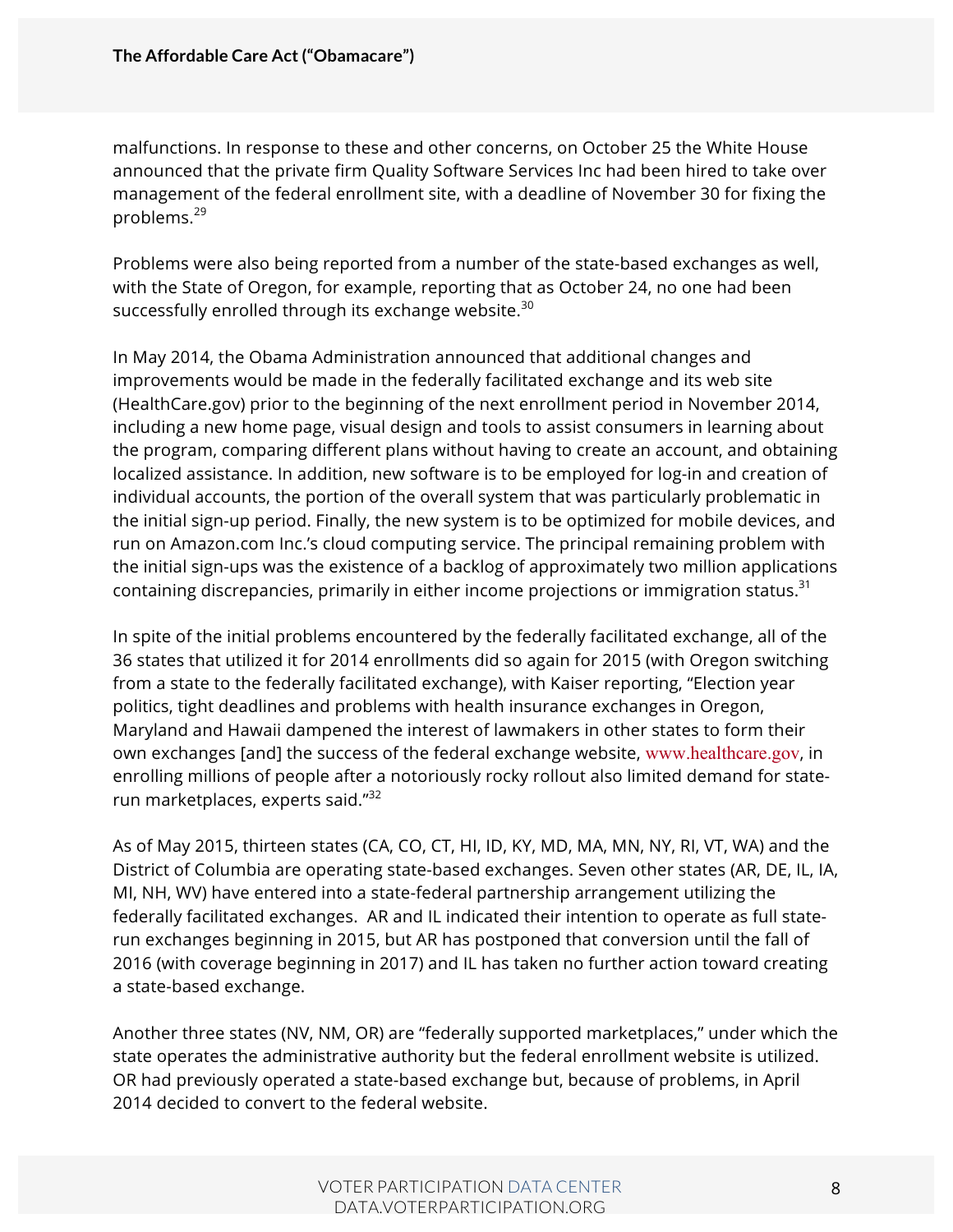malfunctions. In response to these and other concerns, on October 25 the White House announced that the private firm Quality Software Services Inc had been hired to take over management of the federal enrollment site, with a deadline of November 30 for fixing the problems.<sup>29</sup>

Problems were also being reported from a number of the state-based exchanges as well, with the State of Oregon, for example, reporting that as October 24, no one had been successfully enrolled through its exchange website.<sup>30</sup>

In May 2014, the Obama Administration announced that additional changes and improvements would be made in the federally facilitated exchange and its web site (HealthCare.gov) prior to the beginning of the next enrollment period in November 2014, including a new home page, visual design and tools to assist consumers in learning about the program, comparing different plans without having to create an account, and obtaining localized assistance. In addition, new software is to be employed for log-in and creation of individual accounts, the portion of the overall system that was particularly problematic in the initial sign-up period. Finally, the new system is to be optimized for mobile devices, and run on Amazon.com Inc.'s cloud computing service. The principal remaining problem with the initial sign-ups was the existence of a backlog of approximately two million applications containing discrepancies, primarily in either income projections or immigration status. $31$ 

In spite of the initial problems encountered by the federally facilitated exchange, all of the 36 states that utilized it for 2014 enrollments did so again for 2015 (with Oregon switching from a state to the federally facilitated exchange), with Kaiser reporting, "Election year politics, tight deadlines and problems with health insurance exchanges in Oregon, Maryland and Hawaii dampened the interest of lawmakers in other states to form their own exchanges [and] the success of the federal exchange website, www.healthcare.gov, in enrolling millions of people after a notoriously rocky rollout also limited demand for staterun marketplaces, experts said."<sup>32</sup>

As of May 2015, thirteen states (CA, CO, CT, HI, ID, KY, MD, MA, MN, NY, RI, VT, WA) and the District of Columbia are operating state-based exchanges. Seven other states (AR, DE, IL, IA, MI, NH, WV) have entered into a state-federal partnership arrangement utilizing the federally facilitated exchanges. AR and IL indicated their intention to operate as full staterun exchanges beginning in 2015, but AR has postponed that conversion until the fall of 2016 (with coverage beginning in 2017) and IL has taken no further action toward creating a state-based exchange.

Another three states (NV, NM, OR) are "federally supported marketplaces," under which the state operates the administrative authority but the federal enrollment website is utilized. OR had previously operated a state-based exchange but, because of problems, in April 2014 decided to convert to the federal website.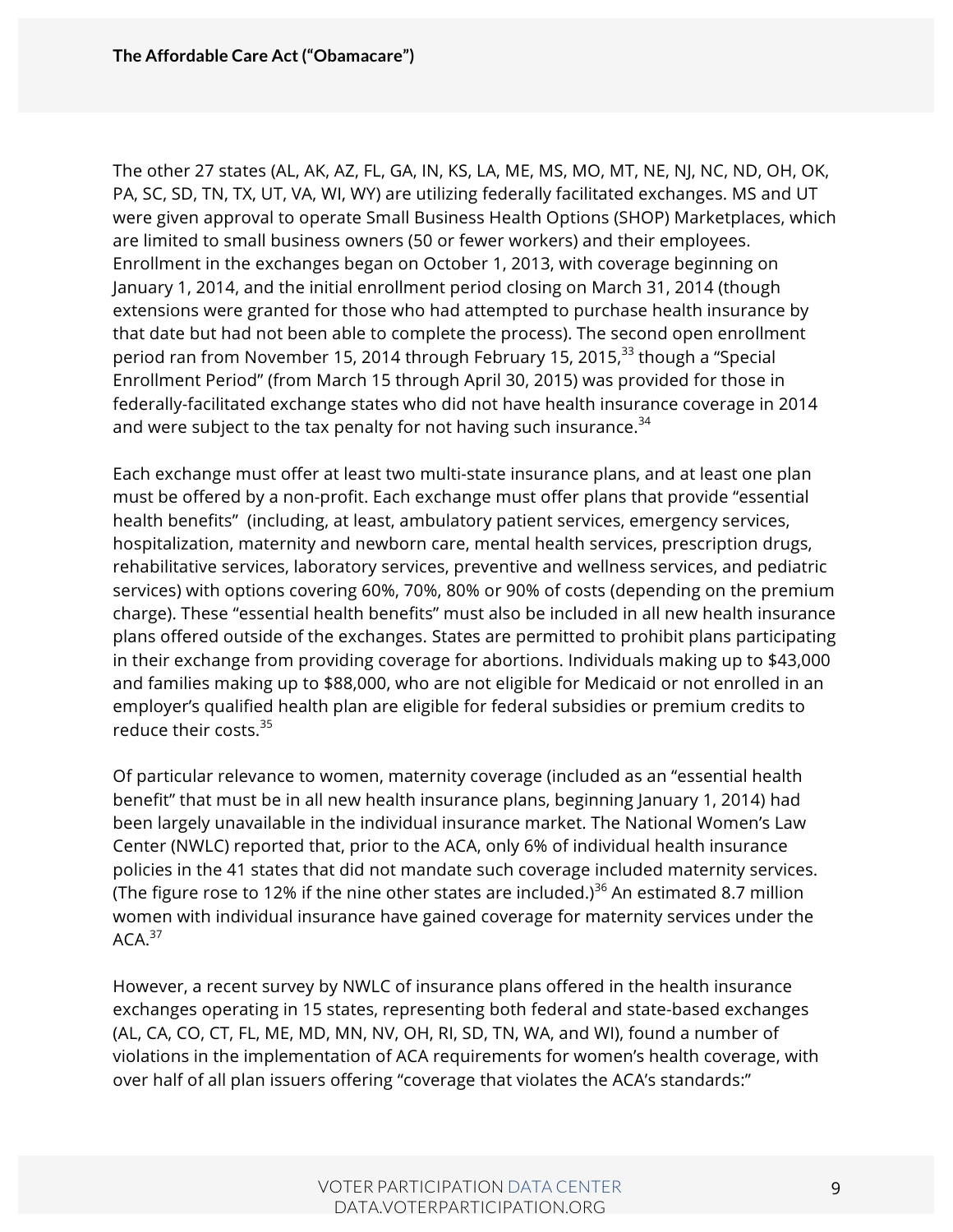The other 27 states (AL, AK, AZ, FL, GA, IN, KS, LA, ME, MS, MO, MT, NE, NJ, NC, ND, OH, OK, PA, SC, SD, TN, TX, UT, VA, WI, WY) are utilizing federally facilitated exchanges. MS and UT were given approval to operate Small Business Health Options (SHOP) Marketplaces, which are limited to small business owners (50 or fewer workers) and their employees. Enrollment in the exchanges began on October 1, 2013, with coverage beginning on January 1, 2014, and the initial enrollment period closing on March 31, 2014 (though extensions were granted for those who had attempted to purchase health insurance by that date but had not been able to complete the process). The second open enrollment period ran from November 15, 2014 through February 15, 2015, $^{33}$  though a "Special Enrollment Period" (from March 15 through April 30, 2015) was provided for those in federally-facilitated exchange states who did not have health insurance coverage in 2014 and were subject to the tax penalty for not having such insurance.  $34$ 

Each exchange must offer at least two multi-state insurance plans, and at least one plan must be offered by a non-profit. Each exchange must offer plans that provide "essential health benefits" (including, at least, ambulatory patient services, emergency services, hospitalization, maternity and newborn care, mental health services, prescription drugs, rehabilitative services, laboratory services, preventive and wellness services, and pediatric services) with options covering 60%, 70%, 80% or 90% of costs (depending on the premium charge). These "essential health benefits" must also be included in all new health insurance plans offered outside of the exchanges. States are permitted to prohibit plans participating in their exchange from providing coverage for abortions. Individuals making up to \$43,000 and families making up to \$88,000, who are not eligible for Medicaid or not enrolled in an employer's qualified health plan are eligible for federal subsidies or premium credits to reduce their costs.<sup>35</sup>

Of particular relevance to women, maternity coverage (included as an "essential health benefit" that must be in all new health insurance plans, beginning January 1, 2014) had been largely unavailable in the individual insurance market. The National Women's Law Center (NWLC) reported that, prior to the ACA, only 6% of individual health insurance policies in the 41 states that did not mandate such coverage included maternity services. (The figure rose to 12% if the nine other states are included.)<sup>36</sup> An estimated 8.7 million women with individual insurance have gained coverage for maternity services under the  $ACA.<sup>37</sup>$ 

However, a recent survey by NWLC of insurance plans offered in the health insurance exchanges operating in 15 states, representing both federal and state-based exchanges (AL, CA, CO, CT, FL, ME, MD, MN, NV, OH, RI, SD, TN, WA, and WI), found a number of violations in the implementation of ACA requirements for women's health coverage, with over half of all plan issuers offering "coverage that violates the ACA's standards:"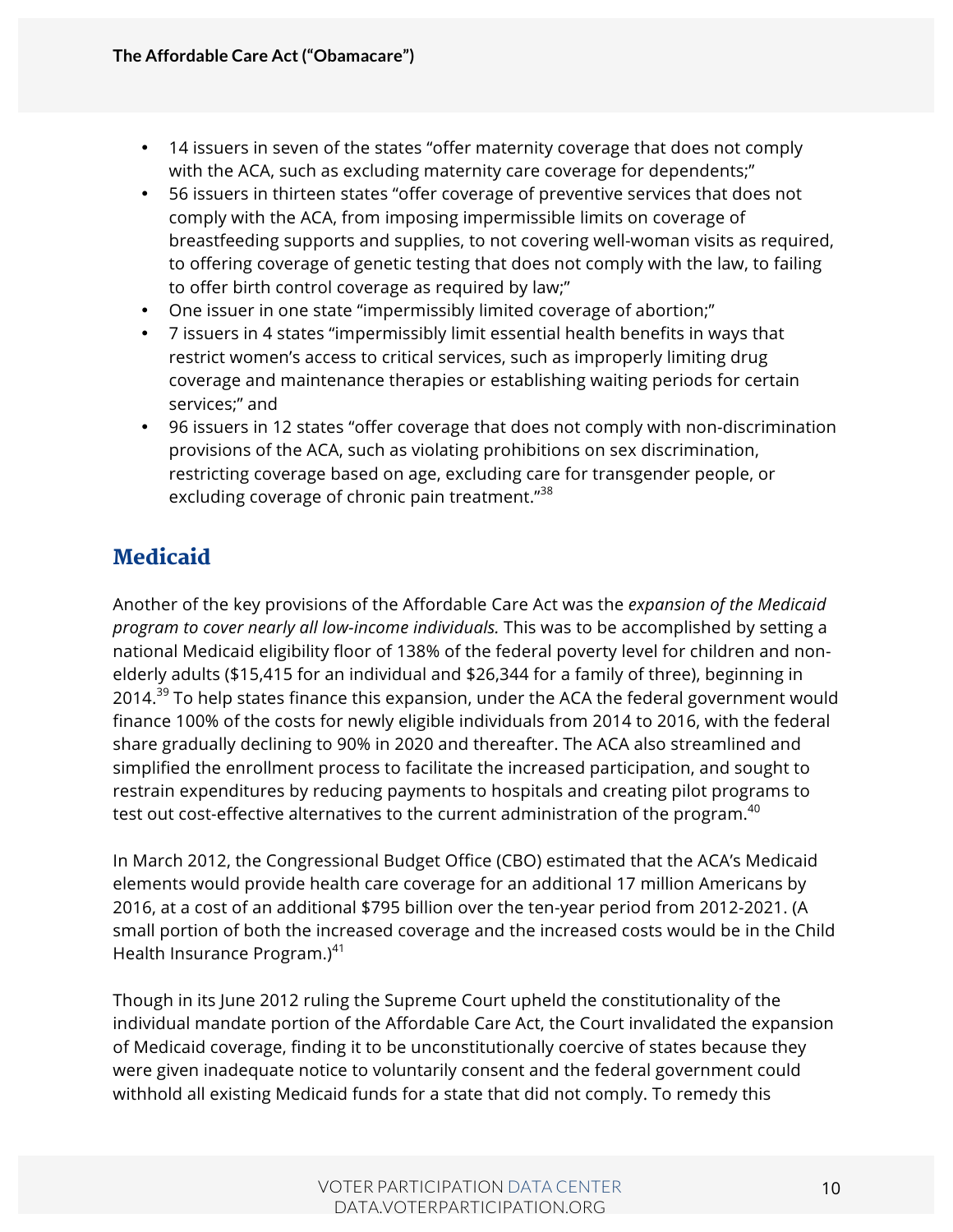- 14 issuers in seven of the states "offer maternity coverage that does not comply with the ACA, such as excluding maternity care coverage for dependents;"
- 56 issuers in thirteen states "offer coverage of preventive services that does not comply with the ACA, from imposing impermissible limits on coverage of breastfeeding supports and supplies, to not covering well-woman visits as required, to offering coverage of genetic testing that does not comply with the law, to failing to offer birth control coverage as required by law;"
- One issuer in one state "impermissibly limited coverage of abortion;"
- 7 issuers in 4 states "impermissibly limit essential health benefits in ways that restrict women's access to critical services, such as improperly limiting drug coverage and maintenance therapies or establishing waiting periods for certain services;" and
- 96 issuers in 12 states "offer coverage that does not comply with non-discrimination provisions of the ACA, such as violating prohibitions on sex discrimination, restricting coverage based on age, excluding care for transgender people, or excluding coverage of chronic pain treatment."<sup>38</sup>

## **Medicaid**

Another of the key provisions of the Affordable Care Act was the *expansion of the Medicaid program to cover nearly all low-income individuals.* This was to be accomplished by setting a national Medicaid eligibility floor of 138% of the federal poverty level for children and nonelderly adults (\$15,415 for an individual and \$26,344 for a family of three), beginning in 2014.<sup>39</sup> To help states finance this expansion, under the ACA the federal government would finance 100% of the costs for newly eligible individuals from 2014 to 2016, with the federal share gradually declining to 90% in 2020 and thereafter. The ACA also streamlined and simplified the enrollment process to facilitate the increased participation, and sought to restrain expenditures by reducing payments to hospitals and creating pilot programs to test out cost-effective alternatives to the current administration of the program. $40$ 

In March 2012, the Congressional Budget Office (CBO) estimated that the ACA's Medicaid elements would provide health care coverage for an additional 17 million Americans by 2016, at a cost of an additional \$795 billion over the ten-year period from 2012-2021. (A small portion of both the increased coverage and the increased costs would be in the Child Health Insurance Program.) $41$ 

Though in its June 2012 ruling the Supreme Court upheld the constitutionality of the individual mandate portion of the Affordable Care Act, the Court invalidated the expansion of Medicaid coverage, finding it to be unconstitutionally coercive of states because they were given inadequate notice to voluntarily consent and the federal government could withhold all existing Medicaid funds for a state that did not comply. To remedy this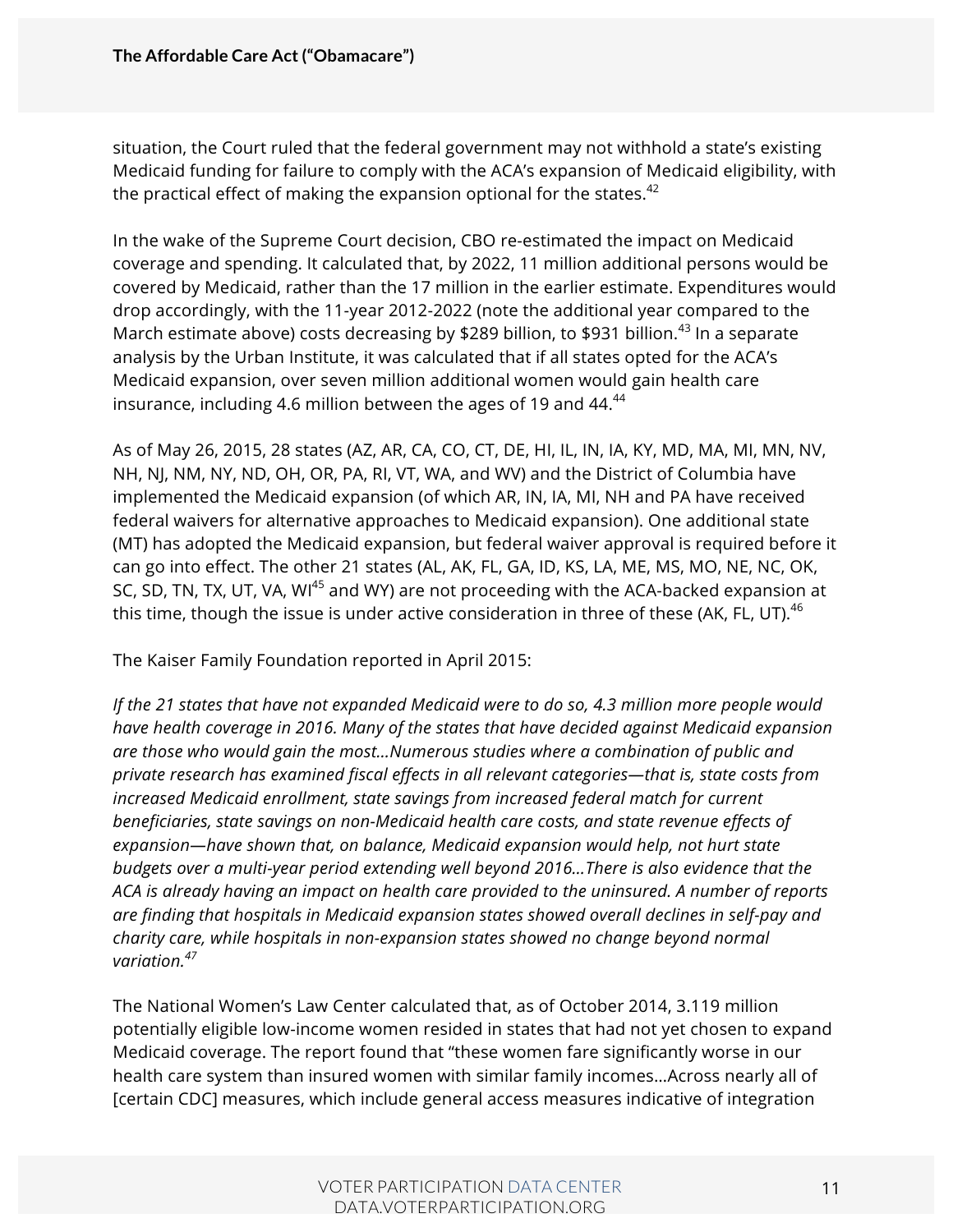situation, the Court ruled that the federal government may not withhold a state's existing Medicaid funding for failure to comply with the ACA's expansion of Medicaid eligibility, with the practical effect of making the expansion optional for the states. $42$ 

In the wake of the Supreme Court decision, CBO re-estimated the impact on Medicaid coverage and spending. It calculated that, by 2022, 11 million additional persons would be covered by Medicaid, rather than the 17 million in the earlier estimate. Expenditures would drop accordingly, with the 11-year 2012-2022 (note the additional year compared to the March estimate above) costs decreasing by \$289 billion, to \$931 billion.<sup>43</sup> In a separate analysis by the Urban Institute, it was calculated that if all states opted for the ACA's Medicaid expansion, over seven million additional women would gain health care insurance, including 4.6 million between the ages of 19 and  $44.44$ 

As of May 26, 2015, 28 states (AZ, AR, CA, CO, CT, DE, HI, IL, IN, IA, KY, MD, MA, MI, MN, NV, NH, NJ, NM, NY, ND, OH, OR, PA, RI, VT, WA, and WV) and the District of Columbia have implemented the Medicaid expansion (of which AR, IN, IA, MI, NH and PA have received federal waivers for alternative approaches to Medicaid expansion). One additional state (MT) has adopted the Medicaid expansion, but federal waiver approval is required before it can go into effect. The other 21 states (AL, AK, FL, GA, ID, KS, LA, ME, MS, MO, NE, NC, OK, SC, SD, TN, TX, UT, VA, WI<sup>45</sup> and WY) are not proceeding with the ACA-backed expansion at this time, though the issue is under active consideration in three of these (AK, FL, UT). $^{46}$ 

The Kaiser Family Foundation reported in April 2015:

*If the 21 states that have not expanded Medicaid were to do so, 4.3 million more people would have health coverage in 2016. Many of the states that have decided against Medicaid expansion are those who would gain the most…Numerous studies where a combination of public and private research has examined fiscal effects in all relevant categories—that is, state costs from increased Medicaid enrollment, state savings from increased federal match for current beneficiaries, state savings on non-Medicaid health care costs, and state revenue effects of expansion—have shown that, on balance, Medicaid expansion would help, not hurt state budgets over a multi-year period extending well beyond 2016…There is also evidence that the ACA is already having an impact on health care provided to the uninsured. A number of reports are finding that hospitals in Medicaid expansion states showed overall declines in self-pay and charity care, while hospitals in non-expansion states showed no change beyond normal variation.<sup>47</sup>*

The National Women's Law Center calculated that, as of October 2014, 3.119 million potentially eligible low-income women resided in states that had not yet chosen to expand Medicaid coverage. The report found that "these women fare significantly worse in our health care system than insured women with similar family incomes…Across nearly all of [certain CDC] measures, which include general access measures indicative of integration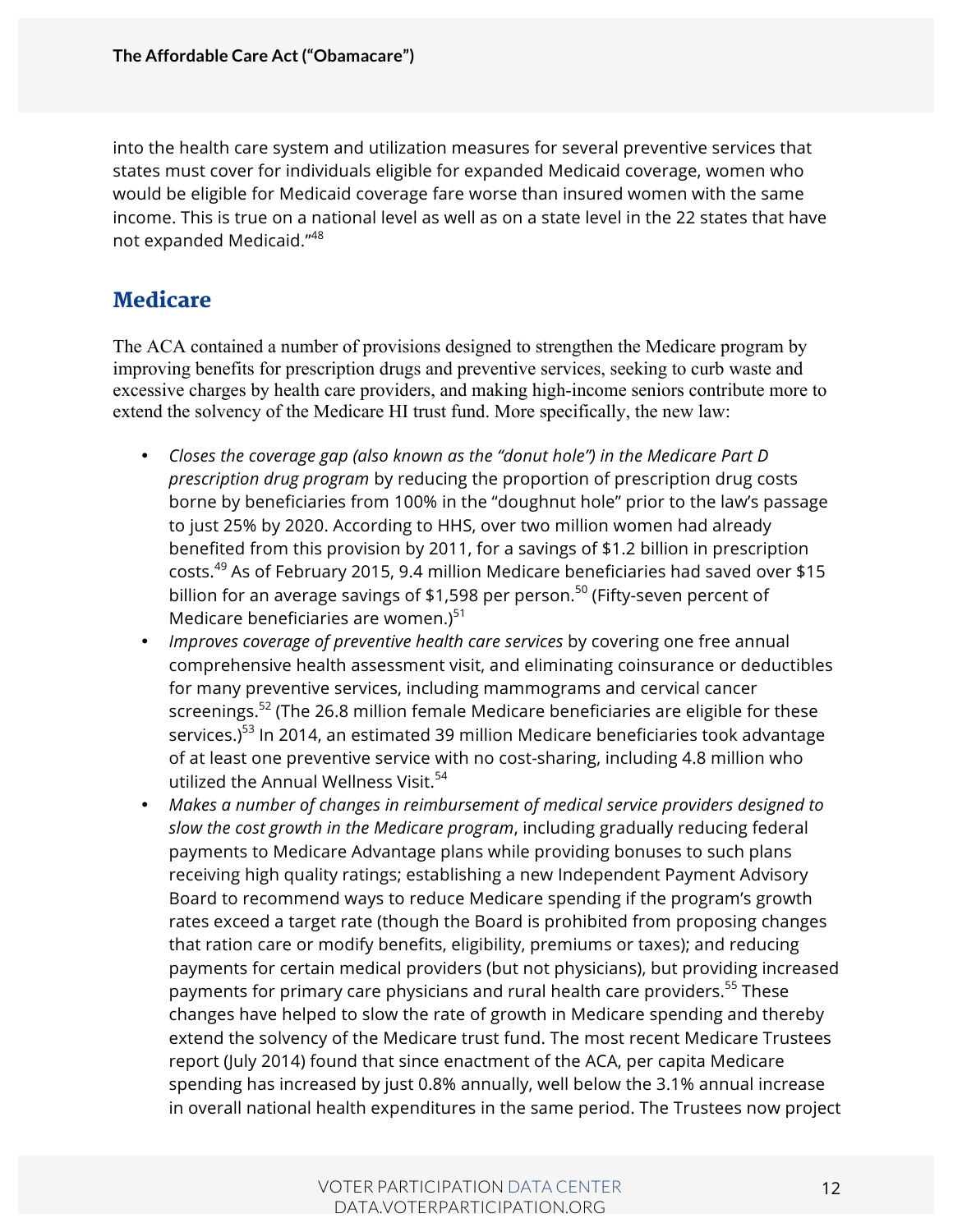into the health care system and utilization measures for several preventive services that states must cover for individuals eligible for expanded Medicaid coverage, women who would be eligible for Medicaid coverage fare worse than insured women with the same income. This is true on a national level as well as on a state level in the 22 states that have not expanded Medicaid."<sup>48</sup>

#### **Medicare**

The ACA contained a number of provisions designed to strengthen the Medicare program by improving benefits for prescription drugs and preventive services, seeking to curb waste and excessive charges by health care providers, and making high-income seniors contribute more to extend the solvency of the Medicare HI trust fund. More specifically, the new law:

- *Closes the coverage gap (also known as the "donut hole") in the Medicare Part D prescription drug program* by reducing the proportion of prescription drug costs borne by beneficiaries from 100% in the "doughnut hole" prior to the law's passage to just 25% by 2020. According to HHS, over two million women had already benefited from this provision by 2011, for a savings of \$1.2 billion in prescription costs. <sup>49</sup> As of February 2015, 9.4 million Medicare beneficiaries had saved over \$15 billion for an average savings of \$1,598 per person.<sup>50</sup> (Fifty-seven percent of Medicare beneficiaries are women.) $51$
- *Improves coverage of preventive health care services* by covering one free annual comprehensive health assessment visit, and eliminating coinsurance or deductibles for many preventive services, including mammograms and cervical cancer screenings.<sup>52</sup> (The 26.8 million female Medicare beneficiaries are eligible for these services.)<sup>53</sup> In 2014, an estimated 39 million Medicare beneficiaries took advantage of at least one preventive service with no cost-sharing, including 4.8 million who utilized the Annual Wellness Visit. $54$
- *Makes a number of changes in reimbursement of medical service providers designed to slow the cost growth in the Medicare program*, including gradually reducing federal payments to Medicare Advantage plans while providing bonuses to such plans receiving high quality ratings; establishing a new Independent Payment Advisory Board to recommend ways to reduce Medicare spending if the program's growth rates exceed a target rate (though the Board is prohibited from proposing changes that ration care or modify benefits, eligibility, premiums or taxes); and reducing payments for certain medical providers (but not physicians), but providing increased payments for primary care physicians and rural health care providers.<sup>55</sup> These changes have helped to slow the rate of growth in Medicare spending and thereby extend the solvency of the Medicare trust fund. The most recent Medicare Trustees report (July 2014) found that since enactment of the ACA, per capita Medicare spending has increased by just 0.8% annually, well below the 3.1% annual increase in overall national health expenditures in the same period. The Trustees now project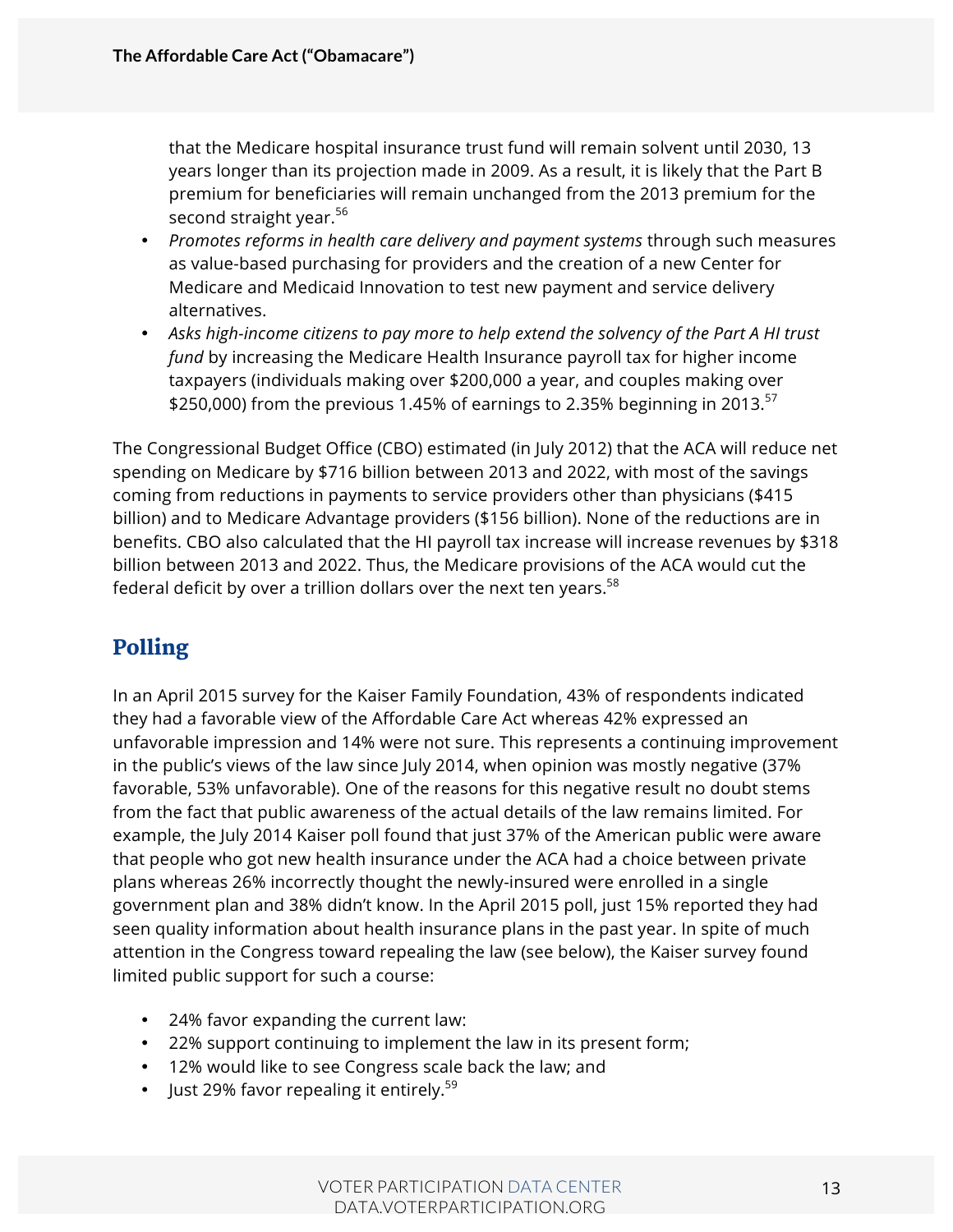that the Medicare hospital insurance trust fund will remain solvent until 2030, 13 years longer than its projection made in 2009. As a result, it is likely that the Part B premium for beneficiaries will remain unchanged from the 2013 premium for the second straight year.<sup>56</sup>

- *Promotes reforms in health care delivery and payment systems* through such measures as value-based purchasing for providers and the creation of a new Center for Medicare and Medicaid Innovation to test new payment and service delivery alternatives.
- *Asks high-income citizens to pay more to help extend the solvency of the Part A HI trust fund* by increasing the Medicare Health Insurance payroll tax for higher income taxpayers (individuals making over \$200,000 a year, and couples making over \$250,000) from the previous 1.45% of earnings to 2.35% beginning in 2013.<sup>57</sup>

The Congressional Budget Office (CBO) estimated (in July 2012) that the ACA will reduce net spending on Medicare by \$716 billion between 2013 and 2022, with most of the savings coming from reductions in payments to service providers other than physicians (\$415 billion) and to Medicare Advantage providers (\$156 billion). None of the reductions are in benefits. CBO also calculated that the HI payroll tax increase will increase revenues by \$318 billion between 2013 and 2022. Thus, the Medicare provisions of the ACA would cut the federal deficit by over a trillion dollars over the next ten years. $58$ 

## Polling

In an April 2015 survey for the Kaiser Family Foundation, 43% of respondents indicated they had a favorable view of the Affordable Care Act whereas 42% expressed an unfavorable impression and 14% were not sure. This represents a continuing improvement in the public's views of the law since July 2014, when opinion was mostly negative (37% favorable, 53% unfavorable). One of the reasons for this negative result no doubt stems from the fact that public awareness of the actual details of the law remains limited. For example, the July 2014 Kaiser poll found that just 37% of the American public were aware that people who got new health insurance under the ACA had a choice between private plans whereas 26% incorrectly thought the newly-insured were enrolled in a single government plan and 38% didn't know. In the April 2015 poll, just 15% reported they had seen quality information about health insurance plans in the past year. In spite of much attention in the Congress toward repealing the law (see below), the Kaiser survey found limited public support for such a course:

- 24% favor expanding the current law:
- 22% support continuing to implement the law in its present form;
- 12% would like to see Congress scale back the law; and
- Just 29% favor repealing it entirely.<sup>59</sup>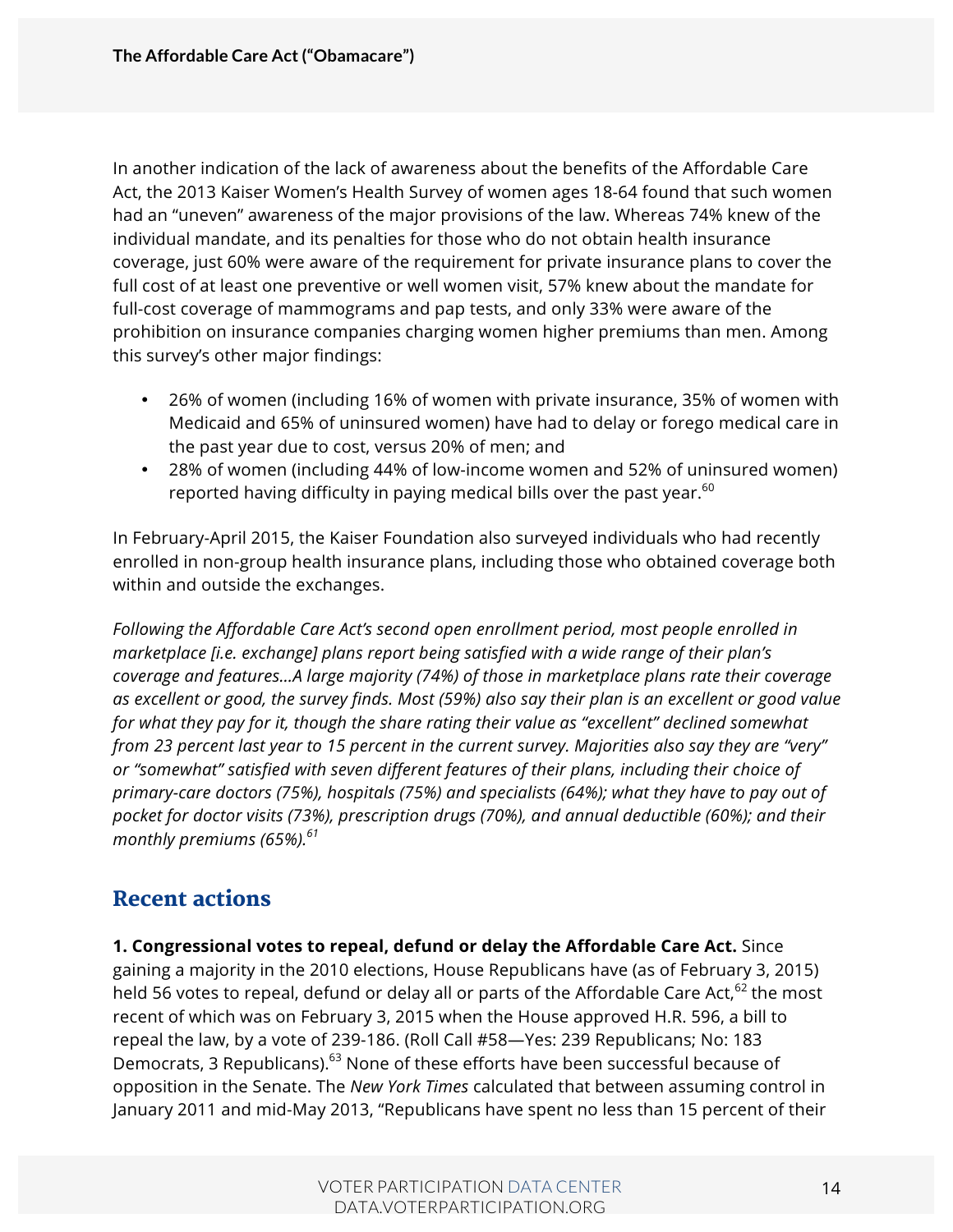In another indication of the lack of awareness about the benefits of the Affordable Care Act, the 2013 Kaiser Women's Health Survey of women ages 18-64 found that such women had an "uneven" awareness of the major provisions of the law. Whereas 74% knew of the individual mandate, and its penalties for those who do not obtain health insurance coverage, just 60% were aware of the requirement for private insurance plans to cover the full cost of at least one preventive or well women visit, 57% knew about the mandate for full-cost coverage of mammograms and pap tests, and only 33% were aware of the prohibition on insurance companies charging women higher premiums than men. Among this survey's other major findings:

- 26% of women (including 16% of women with private insurance, 35% of women with Medicaid and 65% of uninsured women) have had to delay or forego medical care in the past year due to cost, versus 20% of men; and
- 28% of women (including 44% of low-income women and 52% of uninsured women) reported having difficulty in paying medical bills over the past year.<sup>60</sup>

In February-April 2015, the Kaiser Foundation also surveyed individuals who had recently enrolled in non-group health insurance plans, including those who obtained coverage both within and outside the exchanges.

*Following the Affordable Care Act's second open enrollment period, most people enrolled in marketplace [i.e. exchange] plans report being satisfied with a wide range of their plan's coverage and features…A large majority (74%) of those in marketplace plans rate their coverage as excellent or good, the survey finds. Most (59%) also say their plan is an excellent or good value for what they pay for it, though the share rating their value as "excellent" declined somewhat from 23 percent last year to 15 percent in the current survey. Majorities also say they are "very" or "somewhat" satisfied with seven different features of their plans, including their choice of primary-care doctors (75%), hospitals (75%) and specialists (64%); what they have to pay out of pocket for doctor visits (73%), prescription drugs (70%), and annual deductible (60%); and their monthly premiums (65%).61*

#### Recent actions

**1. Congressional votes to repeal, defund or delay the Affordable Care Act.** Since gaining a majority in the 2010 elections, House Republicans have (as of February 3, 2015) held 56 votes to repeal, defund or delay all or parts of the Affordable Care Act,  $62$  the most recent of which was on February 3, 2015 when the House approved H.R. 596, a bill to repeal the law, by a vote of 239-186. (Roll Call #58—Yes: 239 Republicans; No: 183 Democrats, 3 Republicans).<sup>63</sup> None of these efforts have been successful because of opposition in the Senate. The *New York Times* calculated that between assuming control in January 2011 and mid-May 2013, "Republicans have spent no less than 15 percent of their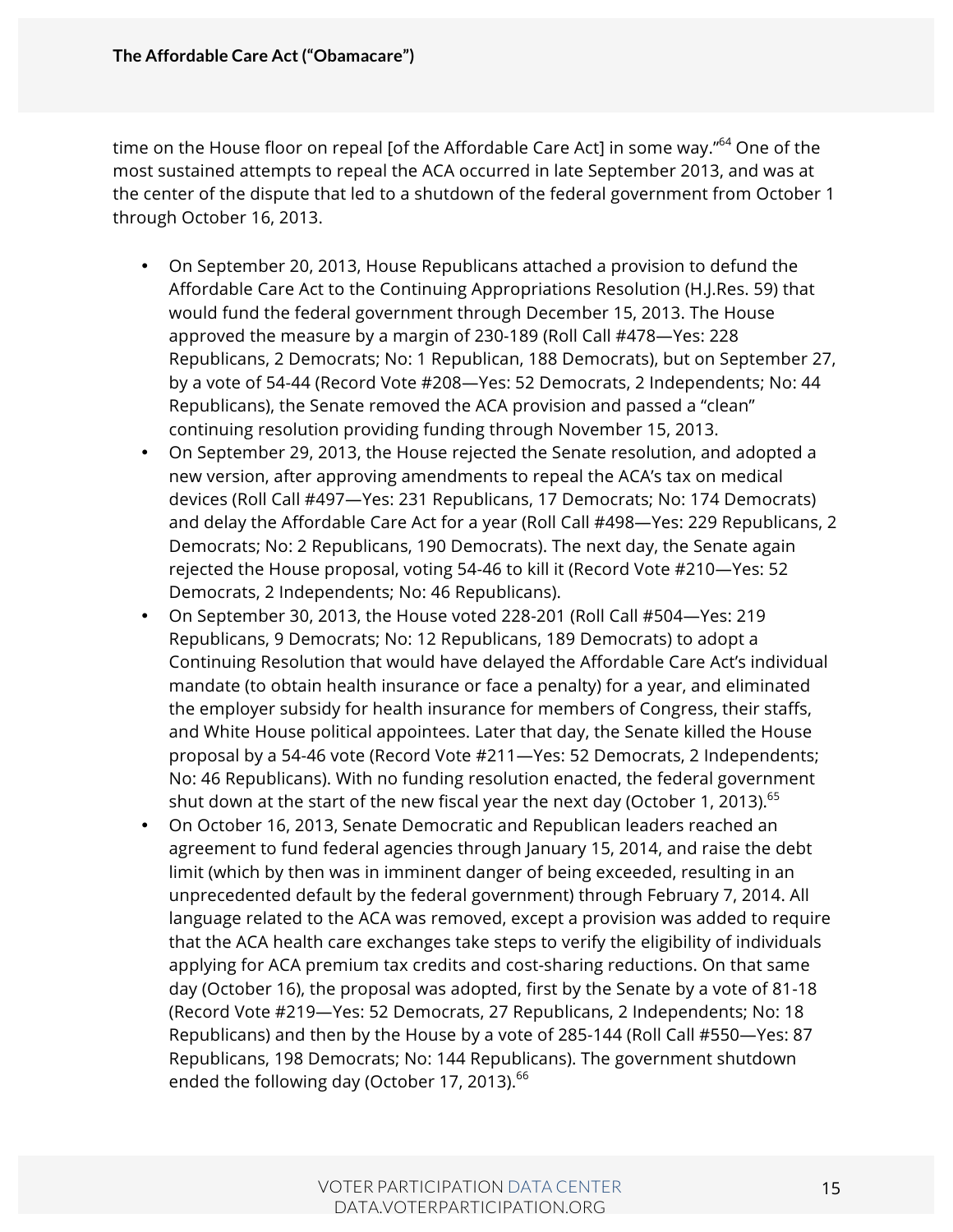time on the House floor on repeal [of the Affordable Care Act] in some way."<sup>64</sup> One of the most sustained attempts to repeal the ACA occurred in late September 2013, and was at the center of the dispute that led to a shutdown of the federal government from October 1 through October 16, 2013.

- On September 20, 2013, House Republicans attached a provision to defund the Affordable Care Act to the Continuing Appropriations Resolution (H.J.Res. 59) that would fund the federal government through December 15, 2013. The House approved the measure by a margin of 230-189 (Roll Call #478—Yes: 228 Republicans, 2 Democrats; No: 1 Republican, 188 Democrats), but on September 27, by a vote of 54-44 (Record Vote #208—Yes: 52 Democrats, 2 Independents; No: 44 Republicans), the Senate removed the ACA provision and passed a "clean" continuing resolution providing funding through November 15, 2013.
- On September 29, 2013, the House rejected the Senate resolution, and adopted a new version, after approving amendments to repeal the ACA's tax on medical devices (Roll Call #497—Yes: 231 Republicans, 17 Democrats; No: 174 Democrats) and delay the Affordable Care Act for a year (Roll Call #498—Yes: 229 Republicans, 2 Democrats; No: 2 Republicans, 190 Democrats). The next day, the Senate again rejected the House proposal, voting 54-46 to kill it (Record Vote #210—Yes: 52 Democrats, 2 Independents; No: 46 Republicans).
- On September 30, 2013, the House voted 228-201 (Roll Call #504—Yes: 219 Republicans, 9 Democrats; No: 12 Republicans, 189 Democrats) to adopt a Continuing Resolution that would have delayed the Affordable Care Act's individual mandate (to obtain health insurance or face a penalty) for a year, and eliminated the employer subsidy for health insurance for members of Congress, their staffs, and White House political appointees. Later that day, the Senate killed the House proposal by a 54-46 vote (Record Vote #211—Yes: 52 Democrats, 2 Independents; No: 46 Republicans). With no funding resolution enacted, the federal government shut down at the start of the new fiscal year the next day (October 1, 2013).  $65$
- On October 16, 2013, Senate Democratic and Republican leaders reached an agreement to fund federal agencies through January 15, 2014, and raise the debt limit (which by then was in imminent danger of being exceeded, resulting in an unprecedented default by the federal government) through February 7, 2014. All language related to the ACA was removed, except a provision was added to require that the ACA health care exchanges take steps to verify the eligibility of individuals applying for ACA premium tax credits and cost-sharing reductions. On that same day (October 16), the proposal was adopted, first by the Senate by a vote of 81-18 (Record Vote #219—Yes: 52 Democrats, 27 Republicans, 2 Independents; No: 18 Republicans) and then by the House by a vote of 285-144 (Roll Call #550—Yes: 87 Republicans, 198 Democrats; No: 144 Republicans). The government shutdown ended the following day (October 17, 2013).<sup>66</sup>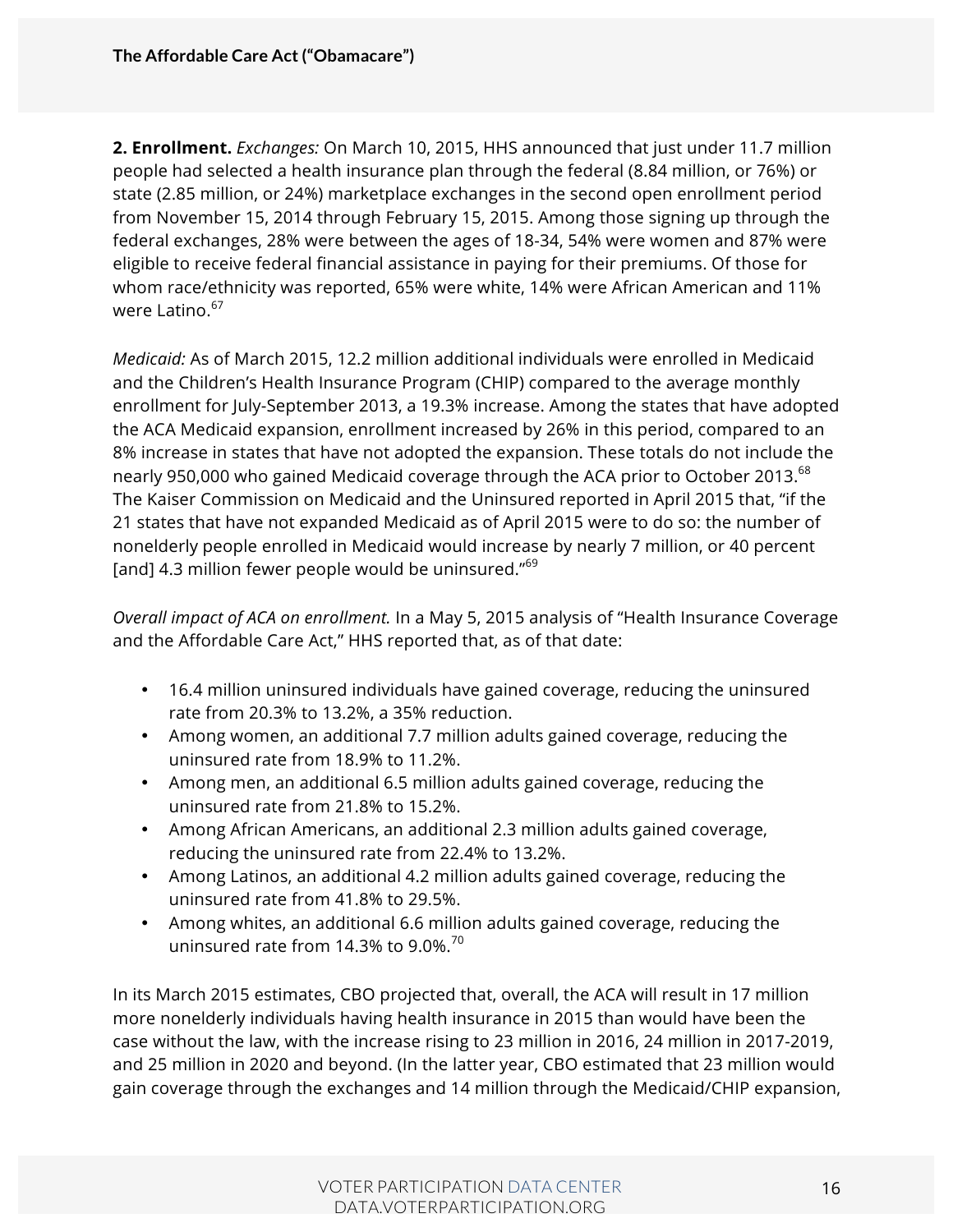**2. Enrollment.** *Exchanges:* On March 10, 2015, HHS announced that just under 11.7 million people had selected a health insurance plan through the federal (8.84 million, or 76%) or state (2.85 million, or 24%) marketplace exchanges in the second open enrollment period from November 15, 2014 through February 15, 2015. Among those signing up through the federal exchanges, 28% were between the ages of 18-34, 54% were women and 87% were eligible to receive federal financial assistance in paying for their premiums. Of those for whom race/ethnicity was reported, 65% were white, 14% were African American and 11% were Latino.<sup>67</sup>

*Medicaid:* As of March 2015, 12.2 million additional individuals were enrolled in Medicaid and the Children's Health Insurance Program (CHIP) compared to the average monthly enrollment for July-September 2013, a 19.3% increase. Among the states that have adopted the ACA Medicaid expansion, enrollment increased by 26% in this period, compared to an 8% increase in states that have not adopted the expansion. These totals do not include the nearly 950,000 who gained Medicaid coverage through the ACA prior to October 2013. $^{68}$ The Kaiser Commission on Medicaid and the Uninsured reported in April 2015 that, "if the 21 states that have not expanded Medicaid as of April 2015 were to do so: the number of nonelderly people enrolled in Medicaid would increase by nearly 7 million, or 40 percent [and] 4.3 million fewer people would be uninsured."<sup>69</sup>

*Overall impact of ACA on enrollment.* In a May 5, 2015 analysis of "Health Insurance Coverage and the Affordable Care Act," HHS reported that, as of that date:

- 16.4 million uninsured individuals have gained coverage, reducing the uninsured rate from 20.3% to 13.2%, a 35% reduction.
- Among women, an additional 7.7 million adults gained coverage, reducing the uninsured rate from 18.9% to 11.2%.
- Among men, an additional 6.5 million adults gained coverage, reducing the uninsured rate from 21.8% to 15.2%.
- Among African Americans, an additional 2.3 million adults gained coverage, reducing the uninsured rate from 22.4% to 13.2%.
- Among Latinos, an additional 4.2 million adults gained coverage, reducing the uninsured rate from 41.8% to 29.5%.
- Among whites, an additional 6.6 million adults gained coverage, reducing the uninsured rate from 14.3% to 9.0%.<sup>70</sup>

In its March 2015 estimates, CBO projected that, overall, the ACA will result in 17 million more nonelderly individuals having health insurance in 2015 than would have been the case without the law, with the increase rising to 23 million in 2016, 24 million in 2017-2019, and 25 million in 2020 and beyond. (In the latter year, CBO estimated that 23 million would gain coverage through the exchanges and 14 million through the Medicaid/CHIP expansion,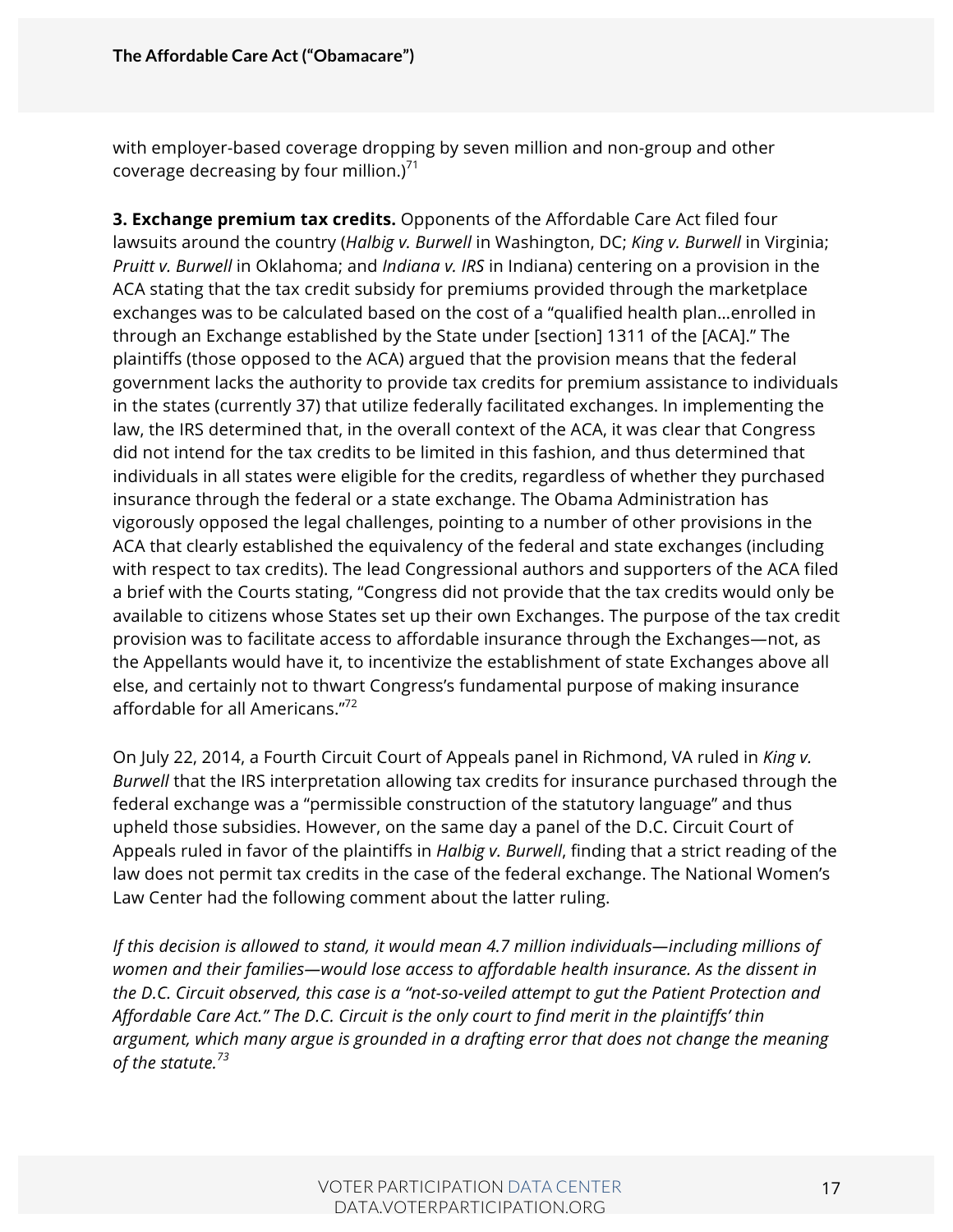with employer-based coverage dropping by seven million and non-group and other coverage decreasing by four million.)<sup>71</sup>

**3. Exchange premium tax credits.** Opponents of the Affordable Care Act filed four lawsuits around the country (*Halbig v. Burwell* in Washington, DC; *King v. Burwell* in Virginia; *Pruitt v. Burwell* in Oklahoma; and *Indiana v. IRS* in Indiana) centering on a provision in the ACA stating that the tax credit subsidy for premiums provided through the marketplace exchanges was to be calculated based on the cost of a "qualified health plan…enrolled in through an Exchange established by the State under [section] 1311 of the [ACA]." The plaintiffs (those opposed to the ACA) argued that the provision means that the federal government lacks the authority to provide tax credits for premium assistance to individuals in the states (currently 37) that utilize federally facilitated exchanges. In implementing the law, the IRS determined that, in the overall context of the ACA, it was clear that Congress did not intend for the tax credits to be limited in this fashion, and thus determined that individuals in all states were eligible for the credits, regardless of whether they purchased insurance through the federal or a state exchange. The Obama Administration has vigorously opposed the legal challenges, pointing to a number of other provisions in the ACA that clearly established the equivalency of the federal and state exchanges (including with respect to tax credits). The lead Congressional authors and supporters of the ACA filed a brief with the Courts stating, "Congress did not provide that the tax credits would only be available to citizens whose States set up their own Exchanges. The purpose of the tax credit provision was to facilitate access to affordable insurance through the Exchanges—not, as the Appellants would have it, to incentivize the establishment of state Exchanges above all else, and certainly not to thwart Congress's fundamental purpose of making insurance affordable for all Americans."<sup>72</sup>

On July 22, 2014, a Fourth Circuit Court of Appeals panel in Richmond, VA ruled in *King v. Burwell* that the IRS interpretation allowing tax credits for insurance purchased through the federal exchange was a "permissible construction of the statutory language" and thus upheld those subsidies. However, on the same day a panel of the D.C. Circuit Court of Appeals ruled in favor of the plaintiffs in *Halbig v. Burwell*, finding that a strict reading of the law does not permit tax credits in the case of the federal exchange. The National Women's Law Center had the following comment about the latter ruling.

*If this decision is allowed to stand, it would mean 4.7 million individuals—including millions of women and their families—would lose access to affordable health insurance. As the dissent in the D.C. Circuit observed, this case is a "not-so-veiled attempt to gut the Patient Protection and Affordable Care Act." The D.C. Circuit is the only court to find merit in the plaintiffs' thin argument, which many argue is grounded in a drafting error that does not change the meaning of the statute.73*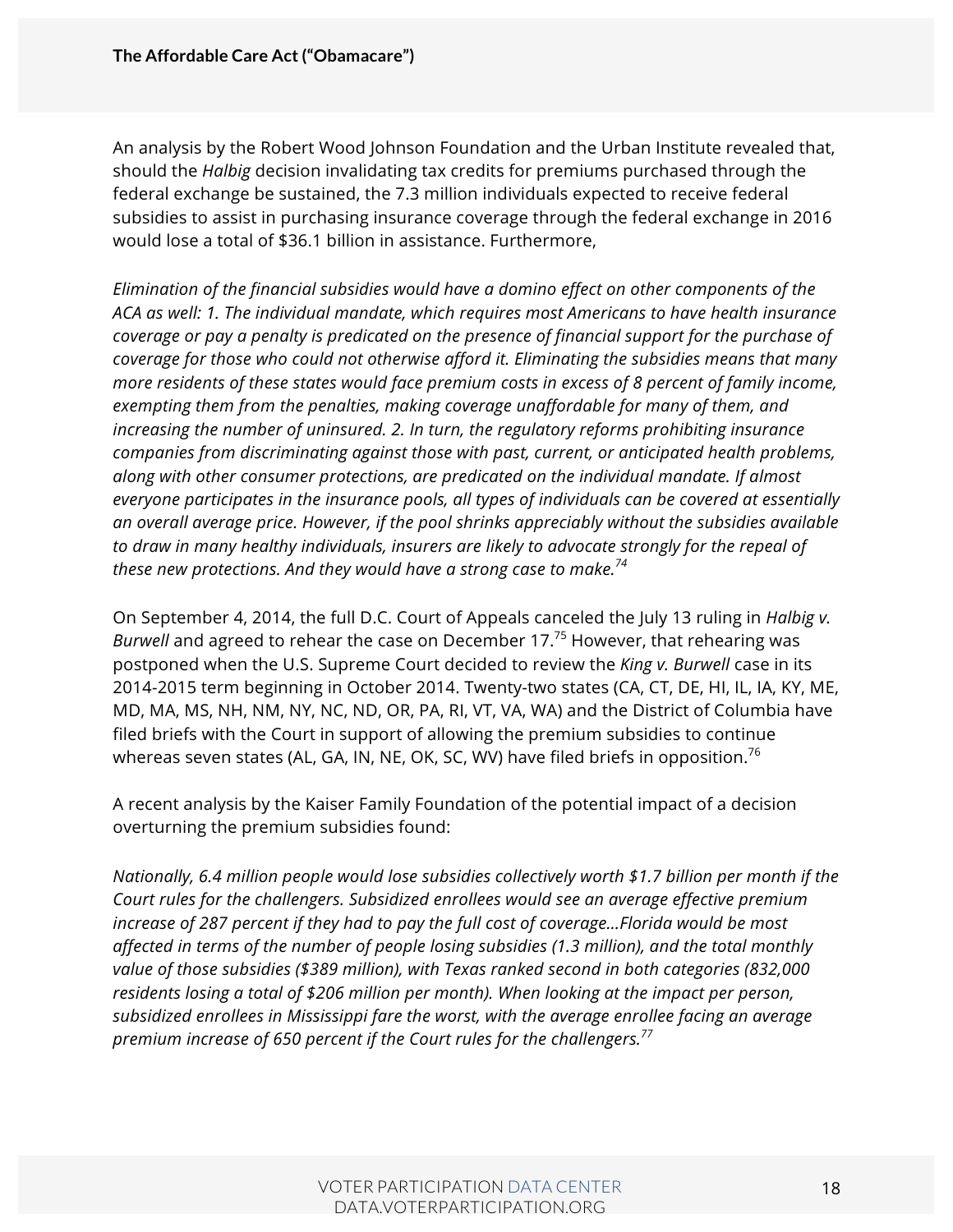An analysis by the Robert Wood Johnson Foundation and the Urban Institute revealed that, should the *Halbig* decision invalidating tax credits for premiums purchased through the federal exchange be sustained, the 7.3 million individuals expected to receive federal subsidies to assist in purchasing insurance coverage through the federal exchange in 2016 would lose a total of \$36.1 billion in assistance. Furthermore,

*Elimination of the financial subsidies would have a domino effect on other components of the ACA as well: 1. The individual mandate, which requires most Americans to have health insurance coverage or pay a penalty is predicated on the presence of financial support for the purchase of coverage for those who could not otherwise afford it. Eliminating the subsidies means that many more residents of these states would face premium costs in excess of 8 percent of family income, exempting them from the penalties, making coverage unaffordable for many of them, and increasing the number of uninsured. 2. In turn, the regulatory reforms prohibiting insurance companies from discriminating against those with past, current, or anticipated health problems, along with other consumer protections, are predicated on the individual mandate. If almost everyone participates in the insurance pools, all types of individuals can be covered at essentially an overall average price. However, if the pool shrinks appreciably without the subsidies available to draw in many healthy individuals, insurers are likely to advocate strongly for the repeal of these new protections. And they would have a strong case to make.74*

On September 4, 2014, the full D.C. Court of Appeals canceled the July 13 ruling in *Halbig v. Burwell* and agreed to rehear the case on December 17.<sup>75</sup> However, that rehearing was postponed when the U.S. Supreme Court decided to review the *King v. Burwell* case in its 2014-2015 term beginning in October 2014. Twenty-two states (CA, CT, DE, HI, IL, IA, KY, ME, MD, MA, MS, NH, NM, NY, NC, ND, OR, PA, RI, VT, VA, WA) and the District of Columbia have filed briefs with the Court in support of allowing the premium subsidies to continue whereas seven states (AL, GA, IN, NE, OK, SC, WV) have filed briefs in opposition.<sup>76</sup>

A recent analysis by the Kaiser Family Foundation of the potential impact of a decision overturning the premium subsidies found:

*Nationally, 6.4 million people would lose subsidies collectively worth \$1.7 billion per month if the Court rules for the challengers. Subsidized enrollees would see an average effective premium increase of 287 percent if they had to pay the full cost of coverage…Florida would be most affected in terms of the number of people losing subsidies (1.3 million), and the total monthly value of those subsidies (\$389 million), with Texas ranked second in both categories (832,000 residents losing a total of \$206 million per month). When looking at the impact per person, subsidized enrollees in Mississippi fare the worst, with the average enrollee facing an average premium increase of 650 percent if the Court rules for the challengers.<sup>77</sup>*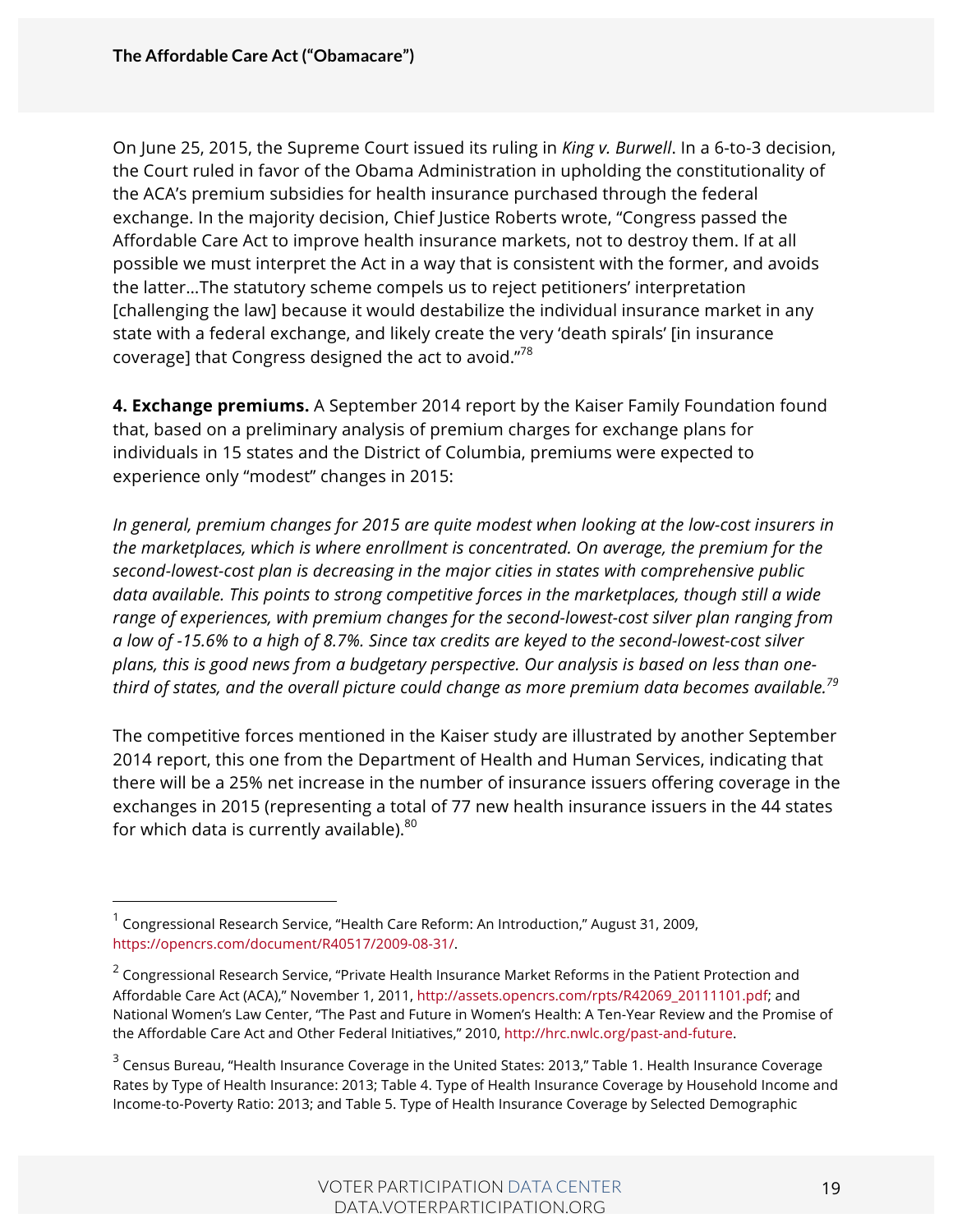On June 25, 2015, the Supreme Court issued its ruling in *King v. Burwell*. In a 6-to-3 decision, the Court ruled in favor of the Obama Administration in upholding the constitutionality of the ACA's premium subsidies for health insurance purchased through the federal exchange. In the majority decision, Chief Justice Roberts wrote, "Congress passed the Affordable Care Act to improve health insurance markets, not to destroy them. If at all possible we must interpret the Act in a way that is consistent with the former, and avoids the latter…The statutory scheme compels us to reject petitioners' interpretation [challenging the law] because it would destabilize the individual insurance market in any state with a federal exchange, and likely create the very 'death spirals' [in insurance coverage] that Congress designed the act to avoid." $^{78}$ 

**4. Exchange premiums.** A September 2014 report by the Kaiser Family Foundation found that, based on a preliminary analysis of premium charges for exchange plans for individuals in 15 states and the District of Columbia, premiums were expected to experience only "modest" changes in 2015:

*In general, premium changes for 2015 are quite modest when looking at the low-cost insurers in the marketplaces, which is where enrollment is concentrated. On average, the premium for the second-lowest-cost plan is decreasing in the major cities in states with comprehensive public data available. This points to strong competitive forces in the marketplaces, though still a wide range of experiences, with premium changes for the second-lowest-cost silver plan ranging from a low of -15.6% to a high of 8.7%. Since tax credits are keyed to the second-lowest-cost silver plans, this is good news from a budgetary perspective. Our analysis is based on less than onethird of states, and the overall picture could change as more premium data becomes available.79*

The competitive forces mentioned in the Kaiser study are illustrated by another September 2014 report, this one from the Department of Health and Human Services, indicating that there will be a 25% net increase in the number of insurance issuers offering coverage in the exchanges in 2015 (representing a total of 77 new health insurance issuers in the 44 states for which data is currently available). $80$ 

 $<sup>1</sup>$  Congressional Research Service, "Health Care Reform: An Introduction," August 31, 2009,</sup> https://opencrs.com/document/R40517/2009-08-31/.

<sup>&</sup>lt;sup>2</sup> Congressional Research Service, "Private Health Insurance Market Reforms in the Patient Protection and Affordable Care Act (ACA)," November 1, 2011, http://assets.opencrs.com/rpts/R42069\_20111101.pdf; and National Women's Law Center, "The Past and Future in Women's Health: A Ten-Year Review and the Promise of the Affordable Care Act and Other Federal Initiatives," 2010, http://hrc.nwlc.org/past-and-future.

<sup>&</sup>lt;sup>3</sup> Census Bureau, "Health Insurance Coverage in the United States: 2013," Table 1. Health Insurance Coverage Rates by Type of Health Insurance: 2013; Table 4. Type of Health Insurance Coverage by Household Income and Income-to-Poverty Ratio: 2013; and Table 5. Type of Health Insurance Coverage by Selected Demographic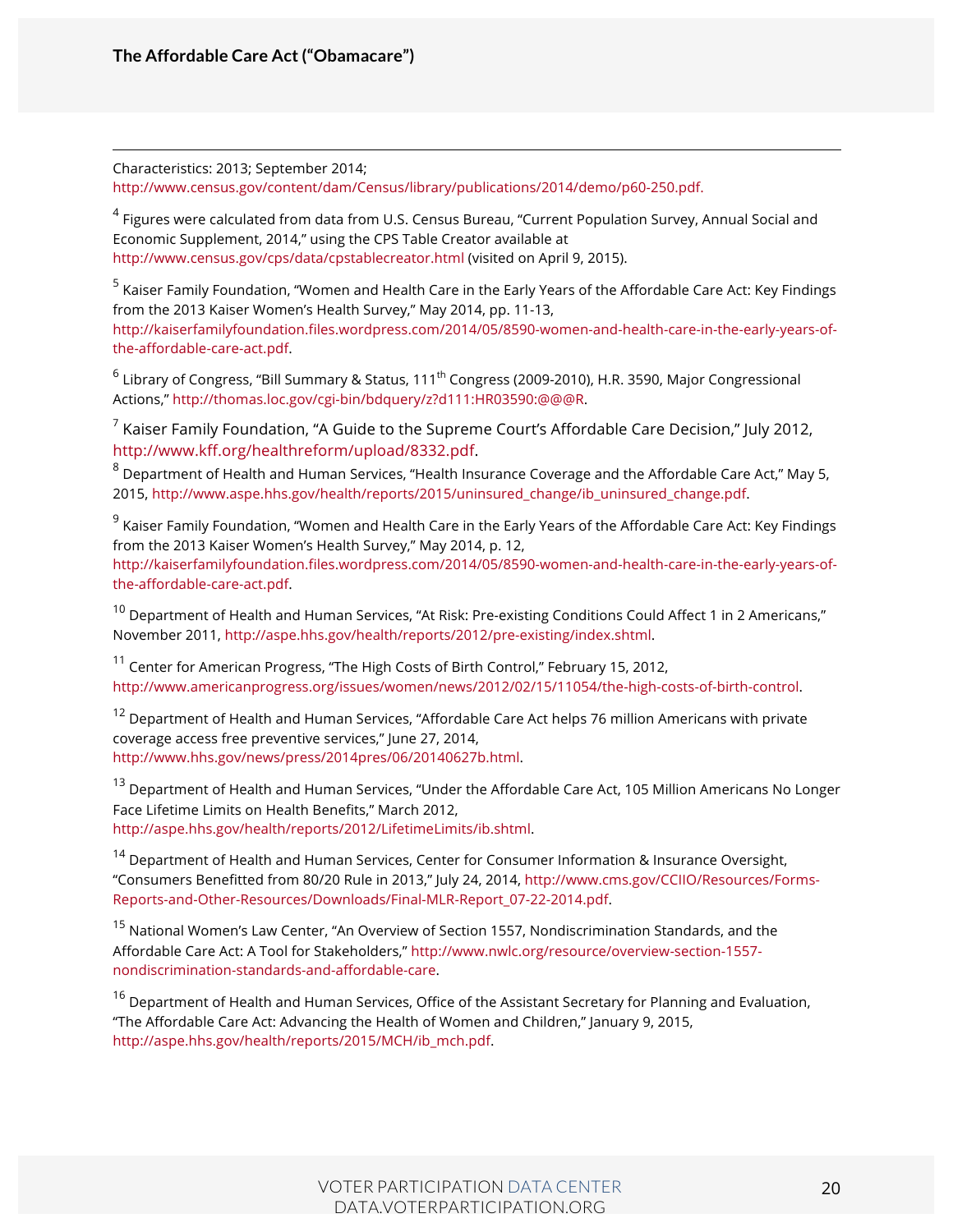Characteristics: 2013; September 2014;

http://www.census.gov/content/dam/Census/library/publications/2014/demo/p60-250.pdf.

<sup>4</sup> Figures were calculated from data from U.S. Census Bureau, "Current Population Survey, Annual Social and Economic Supplement, 2014," using the CPS Table Creator available at http://www.census.gov/cps/data/cpstablecreator.html (visited on April 9, 2015).

<sup>5</sup> Kaiser Family Foundation, "Women and Health Care in the Early Years of the Affordable Care Act: Key Findings from the 2013 Kaiser Women's Health Survey," May 2014, pp. 11-13, http://kaiserfamilyfoundation.files.wordpress.com/2014/05/8590-women-and-health-care-in-the-early-years-ofthe-affordable-care-act.pdf.

 $^6$  Library of Congress, "Bill Summary & Status, 111<sup>th</sup> Congress (2009-2010), H.R. 3590, Major Congressional Actions," http://thomas.loc.gov/cgi-bin/bdquery/z?d111:HR03590:@@@R.

 $7$  Kaiser Family Foundation, "A Guide to the Supreme Court's Affordable Care Decision," July 2012, http://www.kff.org/healthreform/upload/8332.pdf.

<sup>8</sup> Department of Health and Human Services, "Health Insurance Coverage and the Affordable Care Act," May 5, 2015, http://www.aspe.hhs.gov/health/reports/2015/uninsured\_change/ib\_uninsured\_change.pdf.

<sup>9</sup> Kaiser Family Foundation, "Women and Health Care in the Early Years of the Affordable Care Act: Key Findings from the 2013 Kaiser Women's Health Survey," May 2014, p. 12, http://kaiserfamilyfoundation.files.wordpress.com/2014/05/8590-women-and-health-care-in-the-early-years-ofthe-affordable-care-act.pdf.

 $10$  Department of Health and Human Services, "At Risk: Pre-existing Conditions Could Affect 1 in 2 Americans," November 2011, http://aspe.hhs.gov/health/reports/2012/pre-existing/index.shtml.

<sup>11</sup> Center for American Progress, "The High Costs of Birth Control," February 15, 2012, http://www.americanprogress.org/issues/women/news/2012/02/15/11054/the-high-costs-of-birth-control.

<sup>12</sup> Department of Health and Human Services, "Affordable Care Act helps 76 million Americans with private coverage access free preventive services," June 27, 2014, http://www.hhs.gov/news/press/2014pres/06/20140627b.html.

<sup>13</sup> Department of Health and Human Services, "Under the Affordable Care Act, 105 Million Americans No Longer Face Lifetime Limits on Health Benefits," March 2012, http://aspe.hhs.gov/health/reports/2012/LifetimeLimits/ib.shtml.

<sup>14</sup> Department of Health and Human Services, Center for Consumer Information & Insurance Oversight, "Consumers Benefitted from 80/20 Rule in 2013," July 24, 2014, http://www.cms.gov/CCIIO/Resources/Forms-Reports-and-Other-Resources/Downloads/Final-MLR-Report\_07-22-2014.pdf.

<sup>15</sup> National Women's Law Center, "An Overview of Section 1557, Nondiscrimination Standards, and the Affordable Care Act: A Tool for Stakeholders," http://www.nwlc.org/resource/overview-section-1557 nondiscrimination-standards-and-affordable-care.

<sup>16</sup> Department of Health and Human Services, Office of the Assistant Secretary for Planning and Evaluation, "The Affordable Care Act: Advancing the Health of Women and Children," January 9, 2015, http://aspe.hhs.gov/health/reports/2015/MCH/ib\_mch.pdf.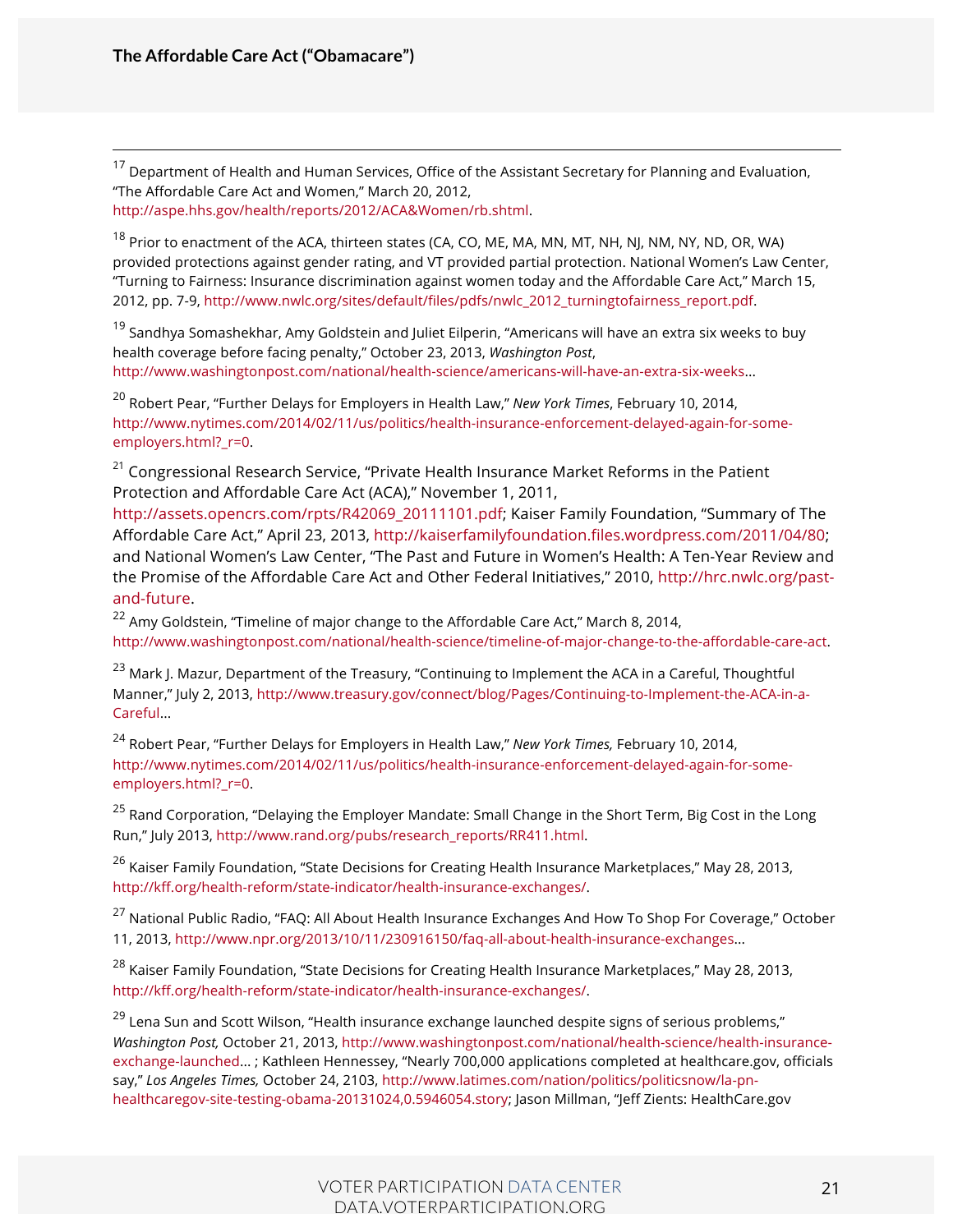<sup>17</sup> Department of Health and Human Services, Office of the Assistant Secretary for Planning and Evaluation, "The Affordable Care Act and Women," March 20, 2012, http://aspe.hhs.gov/health/reports/2012/ACA&Women/rb.shtml.

<sup>18</sup> Prior to enactment of the ACA, thirteen states (CA, CO, ME, MA, MN, MT, NH, NJ, NM, NY, ND, OR, WA) provided protections against gender rating, and VT provided partial protection. National Women's Law Center, "Turning to Fairness: Insurance discrimination against women today and the Affordable Care Act," March 15, 2012, pp. 7-9, http://www.nwlc.org/sites/default/files/pdfs/nwlc\_2012\_turningtofairness\_report.pdf.

 $19$  Sandhya Somashekhar, Amy Goldstein and Juliet Eilperin, "Americans will have an extra six weeks to buy health coverage before facing penalty," October 23, 2013, *Washington Post*, http://www.washingtonpost.com/national/health-science/americans-will-have-an-extra-six-weeks...

<sup>20</sup> Robert Pear, "Further Delays for Employers in Health Law," *New York Times*, February 10, 2014, http://www.nytimes.com/2014/02/11/us/politics/health-insurance-enforcement-delayed-again-for-someemployers.html?\_r=0.

 $21$  Congressional Research Service, "Private Health Insurance Market Reforms in the Patient Protection and Affordable Care Act (ACA)," November 1, 2011,

http://assets.opencrs.com/rpts/R42069\_20111101.pdf; Kaiser Family Foundation, "Summary of The Affordable Care Act," April 23, 2013, http://kaiserfamilyfoundation.files.wordpress.com/2011/04/80; and National Women's Law Center, "The Past and Future in Women's Health: A Ten-Year Review and the Promise of the Affordable Care Act and Other Federal Initiatives," 2010, http://hrc.nwlc.org/pastand-future.

<sup>22</sup> Amy Goldstein, "Timeline of major change to the Affordable Care Act," March 8, 2014, http://www.washingtonpost.com/national/health-science/timeline-of-major-change-to-the-affordable-care-act.

<sup>23</sup> Mark J. Mazur, Department of the Treasury, "Continuing to Implement the ACA in a Careful, Thoughtful Manner," July 2, 2013, http://www.treasury.gov/connect/blog/Pages/Continuing-to-Implement-the-ACA-in-a-Careful...

<sup>24</sup> Robert Pear, "Further Delays for Employers in Health Law," *New York Times,* February 10, 2014, http://www.nytimes.com/2014/02/11/us/politics/health-insurance-enforcement-delayed-again-for-someemployers.html? r=0.

<sup>25</sup> Rand Corporation, "Delaying the Employer Mandate: Small Change in the Short Term, Big Cost in the Long Run," July 2013, http://www.rand.org/pubs/research\_reports/RR411.html.

<sup>26</sup> Kaiser Family Foundation, "State Decisions for Creating Health Insurance Marketplaces," May 28, 2013, http://kff.org/health-reform/state-indicator/health-insurance-exchanges/.

<sup>27</sup> National Public Radio, "FAQ: All About Health Insurance Exchanges And How To Shop For Coverage," October 11, 2013, http://www.npr.org/2013/10/11/230916150/faq-all-about-health-insurance-exchanges...

<sup>28</sup> Kaiser Family Foundation, "State Decisions for Creating Health Insurance Marketplaces," May 28, 2013, http://kff.org/health-reform/state-indicator/health-insurance-exchanges/.

 $^{29}$  Lena Sun and Scott Wilson, "Health insurance exchange launched despite signs of serious problems," *Washington Post,* October 21, 2013, http://www.washingtonpost.com/national/health-science/health-insuranceexchange-launched... ; Kathleen Hennessey, "Nearly 700,000 applications completed at healthcare.gov, officials say," *Los Angeles Times,* October 24, 2103, http://www.latimes.com/nation/politics/politicsnow/la-pnhealthcaregov-site-testing-obama-20131024,0.5946054.story; Jason Millman, "Jeff Zients: HealthCare.gov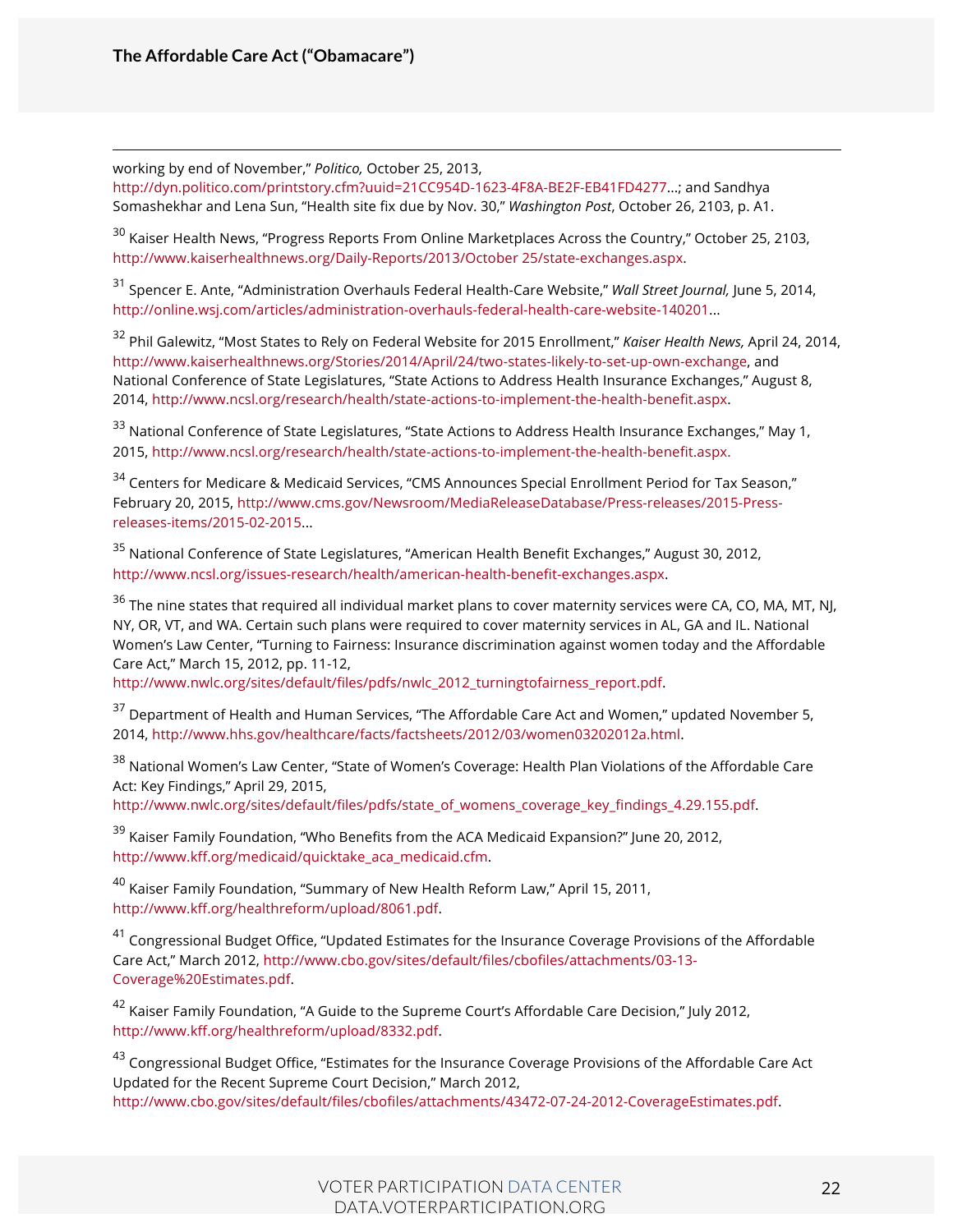working by end of November," *Politico,* October 25, 2013,

http://dyn.politico.com/printstory.cfm?uuid=21CC954D-1623-4F8A-BE2F-EB41FD4277...; and Sandhya Somashekhar and Lena Sun, "Health site fix due by Nov. 30," *Washington Post*, October 26, 2103, p. A1.

<sup>30</sup> Kaiser Health News, "Progress Reports From Online Marketplaces Across the Country," October 25, 2103, http://www.kaiserhealthnews.org/Daily-Reports/2013/October 25/state-exchanges.aspx.

<sup>31</sup> Spencer E. Ante, "Administration Overhauls Federal Health-Care Website," *Wall Street Journal,* June 5, 2014, http://online.wsj.com/articles/administration-overhauls-federal-health-care-website-140201...

<sup>32</sup> Phil Galewitz, "Most States to Rely on Federal Website for 2015 Enrollment," *Kaiser Health News,* April 24, 2014, http://www.kaiserhealthnews.org/Stories/2014/April/24/two-states-likely-to-set-up-own-exchange, and National Conference of State Legislatures, "State Actions to Address Health Insurance Exchanges," August 8, 2014, http://www.ncsl.org/research/health/state-actions-to-implement-the-health-benefit.aspx.

<sup>33</sup> National Conference of State Legislatures, "State Actions to Address Health Insurance Exchanges," May 1, 2015, http://www.ncsl.org/research/health/state-actions-to-implement-the-health-benefit.aspx.

<sup>34</sup> Centers for Medicare & Medicaid Services, "CMS Announces Special Enrollment Period for Tax Season," February 20, 2015, http://www.cms.gov/Newsroom/MediaReleaseDatabase/Press-releases/2015-Pressreleases-items/2015-02-2015...

<sup>35</sup> National Conference of State Legislatures, "American Health Benefit Exchanges," August 30, 2012, http://www.ncsl.org/issues-research/health/american-health-benefit-exchanges.aspx.

 $36$  The nine states that required all individual market plans to cover maternity services were CA, CO, MA, MT, NJ, NY, OR, VT, and WA. Certain such plans were required to cover maternity services in AL, GA and IL. National Women's Law Center, "Turning to Fairness: Insurance discrimination against women today and the Affordable Care Act," March 15, 2012, pp. 11-12,

http://www.nwlc.org/sites/default/files/pdfs/nwlc\_2012\_turningtofairness\_report.pdf.

<sup>37</sup> Department of Health and Human Services, "The Affordable Care Act and Women," updated November 5, 2014, http://www.hhs.gov/healthcare/facts/factsheets/2012/03/women03202012a.html.

<sup>38</sup> National Women's Law Center, "State of Women's Coverage: Health Plan Violations of the Affordable Care Act: Key Findings," April 29, 2015,

http://www.nwlc.org/sites/default/files/pdfs/state\_of\_womens\_coverage\_key\_findings\_4.29.155.pdf.

<sup>39</sup> Kaiser Family Foundation, "Who Benefits from the ACA Medicaid Expansion?" June 20, 2012, http://www.kff.org/medicaid/quicktake\_aca\_medicaid.cfm.

<sup>40</sup> Kaiser Family Foundation, "Summary of New Health Reform Law," April 15, 2011, http://www.kff.org/healthreform/upload/8061.pdf.

<sup>41</sup> Congressional Budget Office, "Updated Estimates for the Insurance Coverage Provisions of the Affordable Care Act," March 2012, http://www.cbo.gov/sites/default/files/cbofiles/attachments/03-13- Coverage%20Estimates.pdf.

<sup>42</sup> Kaiser Family Foundation, "A Guide to the Supreme Court's Affordable Care Decision," July 2012, http://www.kff.org/healthreform/upload/8332.pdf.

<sup>43</sup> Congressional Budget Office, "Estimates for the Insurance Coverage Provisions of the Affordable Care Act Updated for the Recent Supreme Court Decision," March 2012, http://www.cbo.gov/sites/default/files/cbofiles/attachments/43472-07-24-2012-CoverageEstimates.pdf.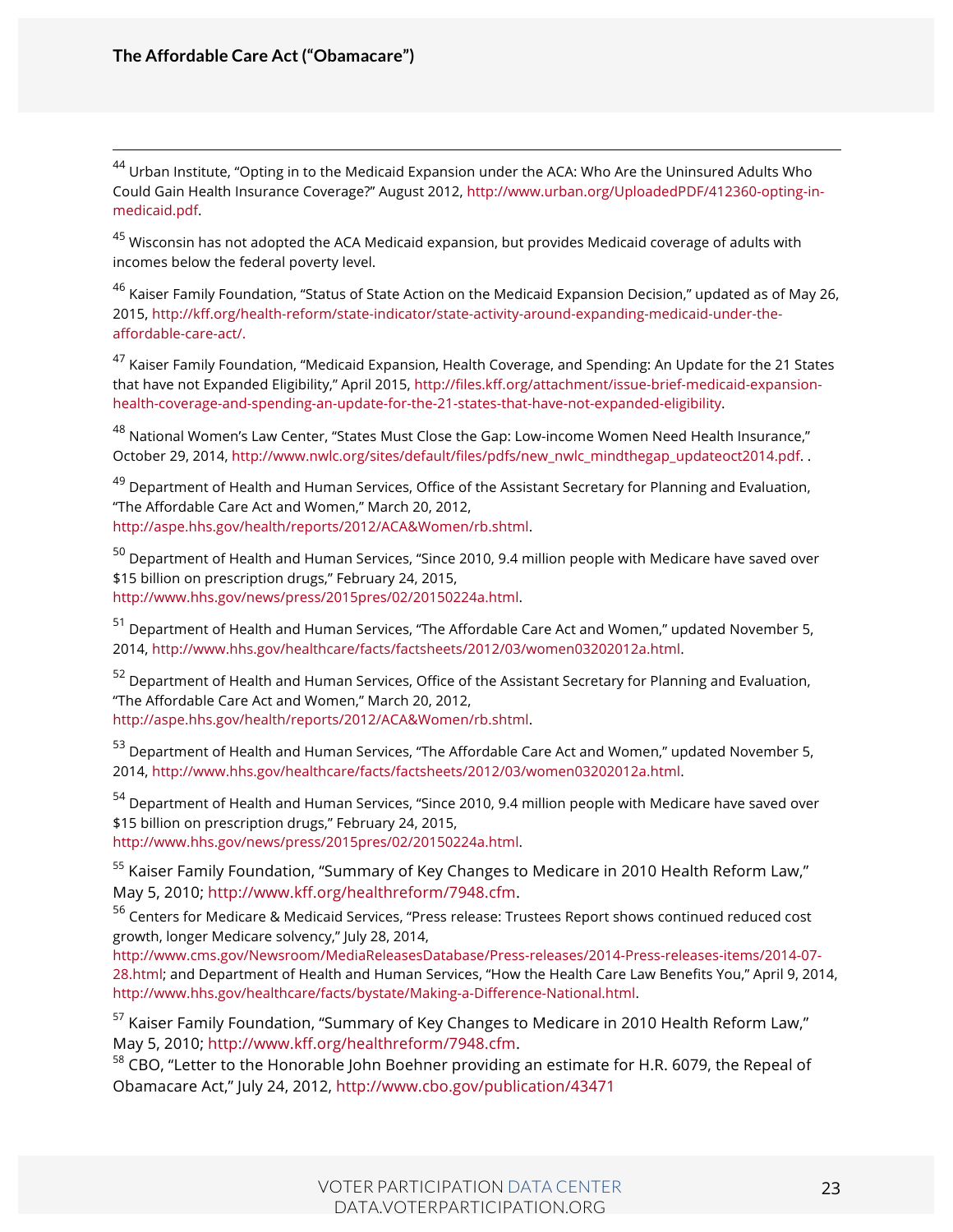44 Urban Institute, "Opting in to the Medicaid Expansion under the ACA: Who Are the Uninsured Adults Who Could Gain Health Insurance Coverage?" August 2012, http://www.urban.org/UploadedPDF/412360-opting-inmedicaid.pdf.

 $45$  Wisconsin has not adopted the ACA Medicaid expansion, but provides Medicaid coverage of adults with incomes below the federal poverty level.

<sup>46</sup> Kaiser Family Foundation, "Status of State Action on the Medicaid Expansion Decision," updated as of May 26, 2015, http://kff.org/health-reform/state-indicator/state-activity-around-expanding-medicaid-under-theaffordable-care-act/.

<sup>47</sup> Kaiser Family Foundation, "Medicaid Expansion, Health Coverage, and Spending: An Update for the 21 States that have not Expanded Eligibility," April 2015, http://files.kff.org/attachment/issue-brief-medicaid-expansionhealth-coverage-and-spending-an-update-for-the-21-states-that-have-not-expanded-eligibility.

<sup>48</sup> National Women's Law Center, "States Must Close the Gap: Low-income Women Need Health Insurance," October 29, 2014, http://www.nwlc.org/sites/default/files/pdfs/new\_nwlc\_mindthegap\_updateoct2014.pdf. .

<sup>49</sup> Department of Health and Human Services, Office of the Assistant Secretary for Planning and Evaluation, "The Affordable Care Act and Women," March 20, 2012, http://aspe.hhs.gov/health/reports/2012/ACA&Women/rb.shtml.

<sup>50</sup> Department of Health and Human Services, "Since 2010, 9.4 million people with Medicare have saved over \$15 billion on prescription drugs," February 24, 2015, http://www.hhs.gov/news/press/2015pres/02/20150224a.html.

<sup>51</sup> Department of Health and Human Services, "The Affordable Care Act and Women," updated November 5, 2014, http://www.hhs.gov/healthcare/facts/factsheets/2012/03/women03202012a.html.

<sup>52</sup> Department of Health and Human Services, Office of the Assistant Secretary for Planning and Evaluation, "The Affordable Care Act and Women," March 20, 2012, http://aspe.hhs.gov/health/reports/2012/ACA&Women/rb.shtml.

<sup>53</sup> Department of Health and Human Services, "The Affordable Care Act and Women," updated November 5, 2014, http://www.hhs.gov/healthcare/facts/factsheets/2012/03/women03202012a.html.

<sup>54</sup> Department of Health and Human Services, "Since 2010, 9.4 million people with Medicare have saved over \$15 billion on prescription drugs," February 24, 2015,

http://www.hhs.gov/news/press/2015pres/02/20150224a.html.

<sup>55</sup> Kaiser Family Foundation, "Summary of Key Changes to Medicare in 2010 Health Reform Law," May 5, 2010; http://www.kff.org/healthreform/7948.cfm.

<sup>56</sup> Centers for Medicare & Medicaid Services, "Press release: Trustees Report shows continued reduced cost growth, longer Medicare solvency," July 28, 2014,

http://www.cms.gov/Newsroom/MediaReleasesDatabase/Press-releases/2014-Press-releases-items/2014-07- 28.html; and Department of Health and Human Services, "How the Health Care Law Benefits You," April 9, 2014, http://www.hhs.gov/healthcare/facts/bystate/Making-a-Difference-National.html.

<sup>57</sup> Kaiser Family Foundation, "Summary of Key Changes to Medicare in 2010 Health Reform Law," May 5, 2010; http://www.kff.org/healthreform/7948.cfm.<br><sup>58</sup> CBO, "Letter to the Honorable John Boehner providing an estimate for H.R. 6079, the Repeal of

Obamacare Act," July 24, 2012, http://www.cbo.gov/publication/43471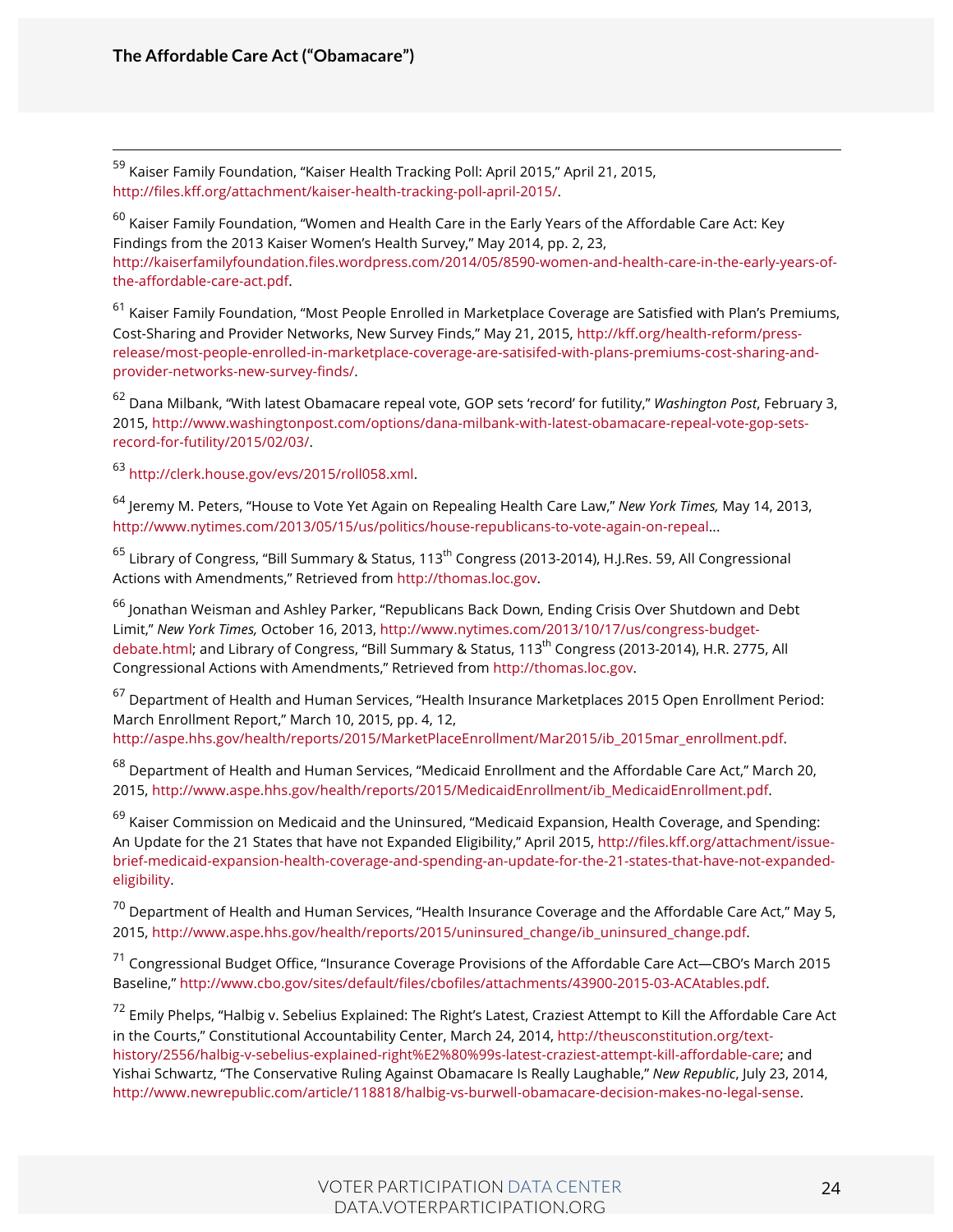59 Kaiser Family Foundation, "Kaiser Health Tracking Poll: April 2015," April 21, 2015, http://files.kff.org/attachment/kaiser-health-tracking-poll-april-2015/.

 $60$  Kaiser Family Foundation, "Women and Health Care in the Early Years of the Affordable Care Act: Key Findings from the 2013 Kaiser Women's Health Survey," May 2014, pp. 2, 23, http://kaiserfamilyfoundation.files.wordpress.com/2014/05/8590-women-and-health-care-in-the-early-years-ofthe-affordable-care-act.pdf.

 $61$  Kaiser Family Foundation, "Most People Enrolled in Marketplace Coverage are Satisfied with Plan's Premiums, Cost-Sharing and Provider Networks, New Survey Finds," May 21, 2015, http://kff.org/health-reform/pressrelease/most-people-enrolled-in-marketplace-coverage-are-satisifed-with-plans-premiums-cost-sharing-andprovider-networks-new-survey-finds/.

<sup>62</sup> Dana Milbank, "With latest Obamacare repeal vote, GOP sets 'record' for futility," *Washington Post*, February 3, 2015, http://www.washingtonpost.com/options/dana-milbank-with-latest-obamacare-repeal-vote-gop-setsrecord-for-futility/2015/02/03/.

<sup>63</sup> http://clerk.house.gov/evs/2015/roll058.xml.

<sup>64</sup> Jeremy M. Peters, "House to Vote Yet Again on Repealing Health Care Law," *New York Times,* May 14, 2013, http://www.nytimes.com/2013/05/15/us/politics/house-republicans-to-vote-again-on-repeal...

<sup>65</sup> Library of Congress, "Bill Summary & Status, 113<sup>th</sup> Congress (2013-2014), H.J.Res. 59, All Congressional Actions with Amendments," Retrieved from http://thomas.loc.gov.

<sup>66</sup> Jonathan Weisman and Ashley Parker, "Republicans Back Down, Ending Crisis Over Shutdown and Debt Limit," *New York Times,* October 16, 2013, http://www.nytimes.com/2013/10/17/us/congress-budgetdebate.html; and Library of Congress, "Bill Summary & Status, 113<sup>th</sup> Congress (2013-2014), H.R. 2775, All Congressional Actions with Amendments," Retrieved from http://thomas.loc.gov.

<sup>67</sup> Department of Health and Human Services, "Health Insurance Marketplaces 2015 Open Enrollment Period: March Enrollment Report," March 10, 2015, pp. 4, 12,

http://aspe.hhs.gov/health/reports/2015/MarketPlaceEnrollment/Mar2015/ib\_2015mar\_enrollment.pdf.

<sup>68</sup> Department of Health and Human Services, "Medicaid Enrollment and the Affordable Care Act," March 20, 2015, http://www.aspe.hhs.gov/health/reports/2015/MedicaidEnrollment/ib\_MedicaidEnrollment.pdf.

 $69$  Kaiser Commission on Medicaid and the Uninsured, "Medicaid Expansion, Health Coverage, and Spending: An Update for the 21 States that have not Expanded Eligibility," April 2015, http://files.kff.org/attachment/issuebrief-medicaid-expansion-health-coverage-and-spending-an-update-for-the-21-states-that-have-not-expandedeligibility.

<sup>70</sup> Department of Health and Human Services, "Health Insurance Coverage and the Affordable Care Act," May 5, 2015, http://www.aspe.hhs.gov/health/reports/2015/uninsured\_change/ib\_uninsured\_change.pdf.

<sup>71</sup> Congressional Budget Office, "Insurance Coverage Provisions of the Affordable Care Act—CBO's March 2015 Baseline," http://www.cbo.gov/sites/default/files/cbofiles/attachments/43900-2015-03-ACAtables.pdf.

<sup>72</sup> Emily Phelps, "Halbig v. Sebelius Explained: The Right's Latest, Craziest Attempt to Kill the Affordable Care Act in the Courts," Constitutional Accountability Center, March 24, 2014, http://theusconstitution.org/texthistory/2556/halbig-v-sebelius-explained-right%E2%80%99s-latest-craziest-attempt-kill-affordable-care; and Yishai Schwartz, "The Conservative Ruling Against Obamacare Is Really Laughable," *New Republic*, July 23, 2014, http://www.newrepublic.com/article/118818/halbig-vs-burwell-obamacare-decision-makes-no-legal-sense.